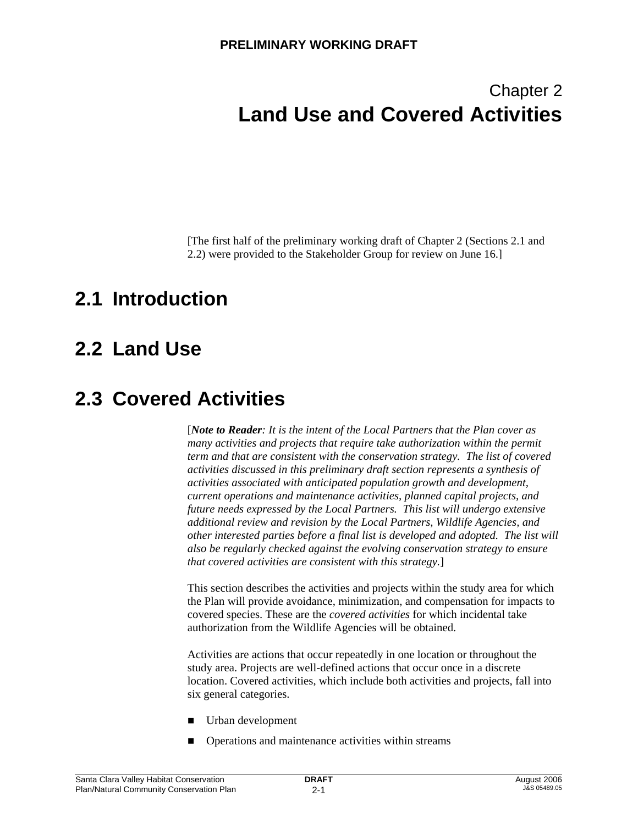# Chapter 2 **Land Use and Covered Activities**

[The first half of the preliminary working draft of Chapter 2 (Sections 2.1 and 2.2) were provided to the Stakeholder Group for review on June 16.]

# **2.1 Introduction**

# **2.2 Land Use**

# **2.3 Covered Activities**

[*Note to Reader: It is the intent of the Local Partners that the Plan cover as many activities and projects that require take authorization within the permit term and that are consistent with the conservation strategy. The list of covered activities discussed in this preliminary draft section represents a synthesis of activities associated with anticipated population growth and development, current operations and maintenance activities, planned capital projects, and future needs expressed by the Local Partners. This list will undergo extensive additional review and revision by the Local Partners, Wildlife Agencies, and other interested parties before a final list is developed and adopted. The list will also be regularly checked against the evolving conservation strategy to ensure that covered activities are consistent with this strategy.*]

This section describes the activities and projects within the study area for which the Plan will provide avoidance, minimization, and compensation for impacts to covered species. These are the *covered activities* for which incidental take authorization from the Wildlife Agencies will be obtained.

Activities are actions that occur repeatedly in one location or throughout the study area. Projects are well-defined actions that occur once in a discrete location. Covered activities, which include both activities and projects, fall into six general categories.

- **Urban development**
- Operations and maintenance activities within streams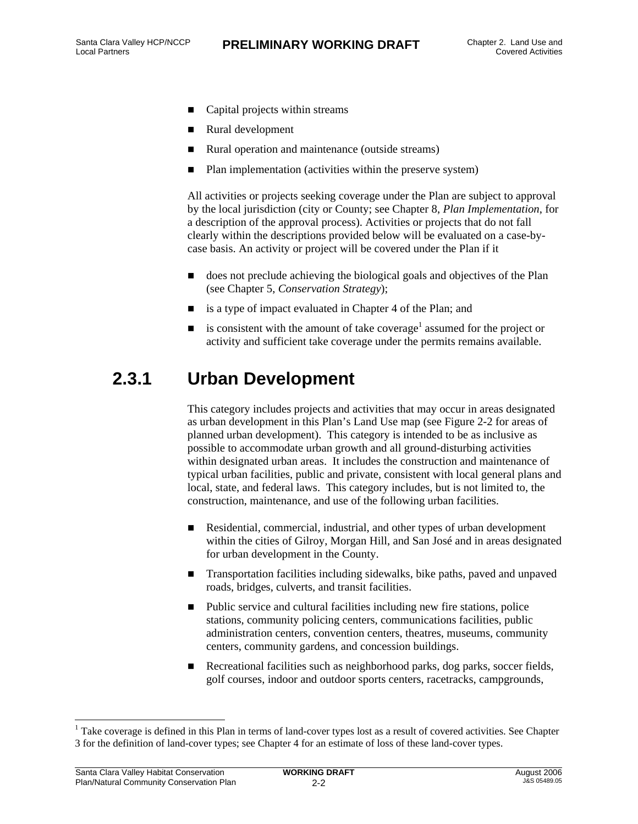- Capital projects within streams
- Rural development
- Rural operation and maintenance (outside streams)
- Plan implementation (activities within the preserve system)

All activities or projects seeking coverage under the Plan are subject to approval by the local jurisdiction (city or County; see Chapter 8, *Plan Implementation*, for a description of the approval process). Activities or projects that do not fall clearly within the descriptions provided below will be evaluated on a case-bycase basis. An activity or project will be covered under the Plan if it

- does not preclude achieving the biological goals and objectives of the Plan (see Chapter 5, *Conservation Strategy*);
- is a type of impact evaluated in Chapter 4 of the Plan; and
- is consistent with the amount of take coverage<sup>1</sup> assumed for the project or activity and sufficient take coverage under the permits remains available.

## **2.3.1 Urban Development**

This category includes projects and activities that may occur in areas designated as urban development in this Plan's Land Use map (see Figure 2-2 for areas of planned urban development). This category is intended to be as inclusive as possible to accommodate urban growth and all ground-disturbing activities within designated urban areas. It includes the construction and maintenance of typical urban facilities, public and private, consistent with local general plans and local, state, and federal laws. This category includes, but is not limited to, the construction, maintenance, and use of the following urban facilities.

- Residential, commercial, industrial, and other types of urban development within the cities of Gilroy, Morgan Hill, and San José and in areas designated for urban development in the County.
- Transportation facilities including sidewalks, bike paths, paved and unpaved roads, bridges, culverts, and transit facilities.
- Public service and cultural facilities including new fire stations, police stations, community policing centers, communications facilities, public administration centers, convention centers, theatres, museums, community centers, community gardens, and concession buildings.
- Recreational facilities such as neighborhood parks, dog parks, soccer fields, golf courses, indoor and outdoor sports centers, racetracks, campgrounds,

l

<sup>&</sup>lt;sup>1</sup> Take coverage is defined in this Plan in terms of land-cover types lost as a result of covered activities. See Chapter 3 for the definition of land-cover types; see Chapter 4 for an estimate of loss of these land-cover types.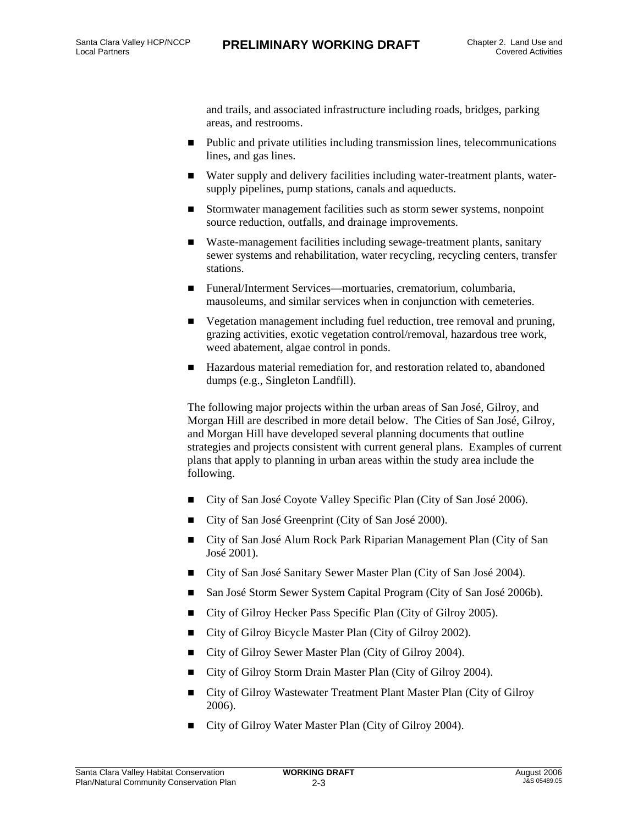and trails, and associated infrastructure including roads, bridges, parking areas, and restrooms.

- Public and private utilities including transmission lines, telecommunications lines, and gas lines.
- Water supply and delivery facilities including water-treatment plants, watersupply pipelines, pump stations, canals and aqueducts.
- Stormwater management facilities such as storm sewer systems, nonpoint source reduction, outfalls, and drainage improvements.
- Waste-management facilities including sewage-treatment plants, sanitary sewer systems and rehabilitation, water recycling, recycling centers, transfer stations.
- Funeral/Interment Services—mortuaries, crematorium, columbaria, mausoleums, and similar services when in conjunction with cemeteries.
- Vegetation management including fuel reduction, tree removal and pruning, grazing activities, exotic vegetation control/removal, hazardous tree work, weed abatement, algae control in ponds.
- Hazardous material remediation for, and restoration related to, abandoned dumps (e.g., Singleton Landfill).

The following major projects within the urban areas of San José, Gilroy, and Morgan Hill are described in more detail below. The Cities of San José, Gilroy, and Morgan Hill have developed several planning documents that outline strategies and projects consistent with current general plans. Examples of current plans that apply to planning in urban areas within the study area include the following.

- City of San José Coyote Valley Specific Plan (City of San José 2006).
- City of San José Greenprint (City of San José 2000).
- City of San José Alum Rock Park Riparian Management Plan (City of San José 2001).
- City of San José Sanitary Sewer Master Plan (City of San José 2004).
- San José Storm Sewer System Capital Program (City of San José 2006b).
- City of Gilroy Hecker Pass Specific Plan (City of Gilroy 2005).
- City of Gilroy Bicycle Master Plan (City of Gilroy 2002).
- City of Gilroy Sewer Master Plan (City of Gilroy 2004).
- City of Gilroy Storm Drain Master Plan (City of Gilroy 2004).
- City of Gilroy Wastewater Treatment Plant Master Plan (City of Gilroy 2006).
- City of Gilroy Water Master Plan (City of Gilroy 2004).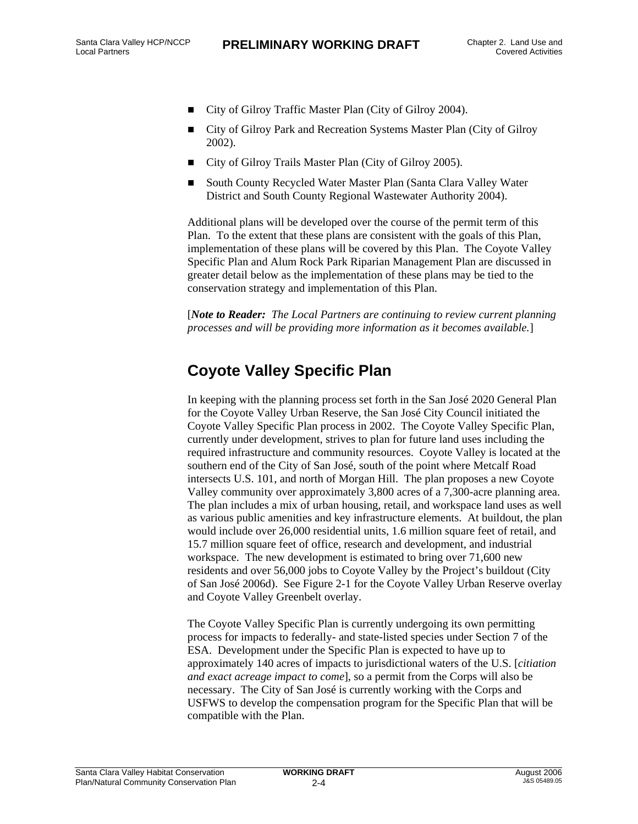- City of Gilroy Traffic Master Plan (City of Gilroy 2004).
- City of Gilroy Park and Recreation Systems Master Plan (City of Gilroy 2002).
- City of Gilroy Trails Master Plan (City of Gilroy 2005).
- South County Recycled Water Master Plan (Santa Clara Valley Water District and South County Regional Wastewater Authority 2004).

Additional plans will be developed over the course of the permit term of this Plan. To the extent that these plans are consistent with the goals of this Plan, implementation of these plans will be covered by this Plan. The Coyote Valley Specific Plan and Alum Rock Park Riparian Management Plan are discussed in greater detail below as the implementation of these plans may be tied to the conservation strategy and implementation of this Plan.

[*Note to Reader: The Local Partners are continuing to review current planning processes and will be providing more information as it becomes available.*]

#### **Coyote Valley Specific Plan**

In keeping with the planning process set forth in the San José 2020 General Plan for the Coyote Valley Urban Reserve, the San José City Council initiated the Coyote Valley Specific Plan process in 2002. The Coyote Valley Specific Plan, currently under development, strives to plan for future land uses including the required infrastructure and community resources. Coyote Valley is located at the southern end of the City of San José, south of the point where Metcalf Road intersects U.S. 101, and north of Morgan Hill. The plan proposes a new Coyote Valley community over approximately 3,800 acres of a 7,300-acre planning area. The plan includes a mix of urban housing, retail, and workspace land uses as well as various public amenities and key infrastructure elements. At buildout, the plan would include over 26,000 residential units, 1.6 million square feet of retail, and 15.7 million square feet of office, research and development, and industrial workspace. The new development is estimated to bring over 71,600 new residents and over 56,000 jobs to Coyote Valley by the Project's buildout (City of San José 2006d). See Figure 2-1 for the Coyote Valley Urban Reserve overlay and Coyote Valley Greenbelt overlay.

The Coyote Valley Specific Plan is currently undergoing its own permitting process for impacts to federally- and state-listed species under Section 7 of the ESA. Development under the Specific Plan is expected to have up to approximately 140 acres of impacts to jurisdictional waters of the U.S. [*citiation and exact acreage impact to come*], so a permit from the Corps will also be necessary. The City of San José is currently working with the Corps and USFWS to develop the compensation program for the Specific Plan that will be compatible with the Plan.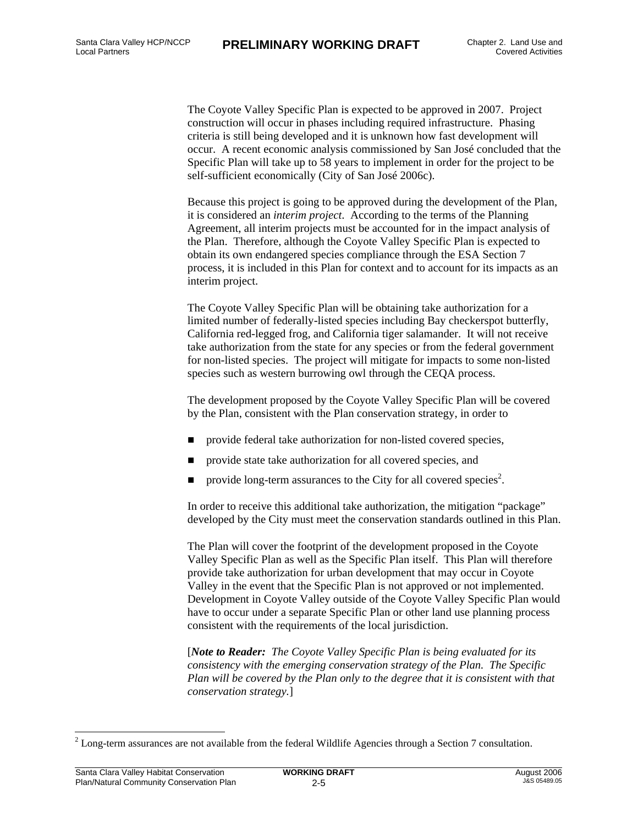The Coyote Valley Specific Plan is expected to be approved in 2007. Project construction will occur in phases including required infrastructure. Phasing criteria is still being developed and it is unknown how fast development will occur. A recent economic analysis commissioned by San José concluded that the Specific Plan will take up to 58 years to implement in order for the project to be self-sufficient economically (City of San José 2006c).

Because this project is going to be approved during the development of the Plan, it is considered an *interim project*. According to the terms of the Planning Agreement, all interim projects must be accounted for in the impact analysis of the Plan. Therefore, although the Coyote Valley Specific Plan is expected to obtain its own endangered species compliance through the ESA Section 7 process, it is included in this Plan for context and to account for its impacts as an interim project.

The Coyote Valley Specific Plan will be obtaining take authorization for a limited number of federally-listed species including Bay checkerspot butterfly, California red-legged frog, and California tiger salamander. It will not receive take authorization from the state for any species or from the federal government for non-listed species. The project will mitigate for impacts to some non-listed species such as western burrowing owl through the CEQA process.

The development proposed by the Coyote Valley Specific Plan will be covered by the Plan, consistent with the Plan conservation strategy, in order to

- **provide federal take authorization for non-listed covered species,**
- provide state take authorization for all covered species, and
- provide long-term assurances to the City for all covered species<sup>2</sup>.

In order to receive this additional take authorization, the mitigation "package" developed by the City must meet the conservation standards outlined in this Plan.

The Plan will cover the footprint of the development proposed in the Coyote Valley Specific Plan as well as the Specific Plan itself. This Plan will therefore provide take authorization for urban development that may occur in Coyote Valley in the event that the Specific Plan is not approved or not implemented. Development in Coyote Valley outside of the Coyote Valley Specific Plan would have to occur under a separate Specific Plan or other land use planning process consistent with the requirements of the local jurisdiction.

[*Note to Reader: The Coyote Valley Specific Plan is being evaluated for its consistency with the emerging conservation strategy of the Plan. The Specific Plan will be covered by the Plan only to the degree that it is consistent with that conservation strategy.*]

l

 $2^{2}$  Long-term assurances are not available from the federal Wildlife Agencies through a Section 7 consultation.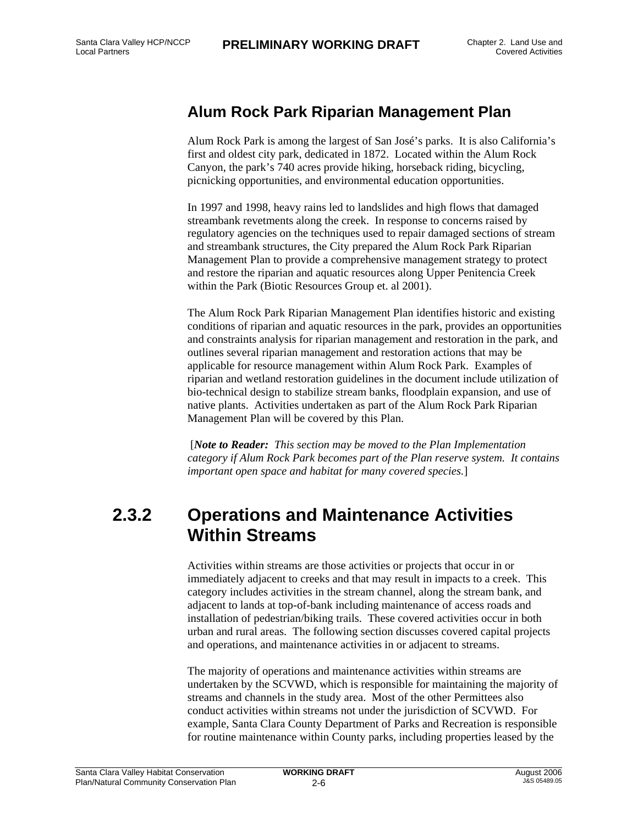#### **Alum Rock Park Riparian Management Plan**

Alum Rock Park is among the largest of San José's parks. It is also California's first and oldest city park, dedicated in 1872. Located within the Alum Rock Canyon, the park's 740 acres provide hiking, horseback riding, bicycling, picnicking opportunities, and environmental education opportunities.

In 1997 and 1998, heavy rains led to landslides and high flows that damaged streambank revetments along the creek. In response to concerns raised by regulatory agencies on the techniques used to repair damaged sections of stream and streambank structures, the City prepared the Alum Rock Park Riparian Management Plan to provide a comprehensive management strategy to protect and restore the riparian and aquatic resources along Upper Penitencia Creek within the Park (Biotic Resources Group et. al 2001).

The Alum Rock Park Riparian Management Plan identifies historic and existing conditions of riparian and aquatic resources in the park, provides an opportunities and constraints analysis for riparian management and restoration in the park, and outlines several riparian management and restoration actions that may be applicable for resource management within Alum Rock Park. Examples of riparian and wetland restoration guidelines in the document include utilization of bio-technical design to stabilize stream banks, floodplain expansion, and use of native plants. Activities undertaken as part of the Alum Rock Park Riparian Management Plan will be covered by this Plan.

 [*Note to Reader: This section may be moved to the Plan Implementation category if Alum Rock Park becomes part of the Plan reserve system. It contains important open space and habitat for many covered species.*]

## **2.3.2 Operations and Maintenance Activities Within Streams**

Activities within streams are those activities or projects that occur in or immediately adjacent to creeks and that may result in impacts to a creek. This category includes activities in the stream channel, along the stream bank, and adjacent to lands at top-of-bank including maintenance of access roads and installation of pedestrian/biking trails. These covered activities occur in both urban and rural areas. The following section discusses covered capital projects and operations, and maintenance activities in or adjacent to streams.

The majority of operations and maintenance activities within streams are undertaken by the SCVWD, which is responsible for maintaining the majority of streams and channels in the study area. Most of the other Permittees also conduct activities within streams not under the jurisdiction of SCVWD. For example, Santa Clara County Department of Parks and Recreation is responsible for routine maintenance within County parks, including properties leased by the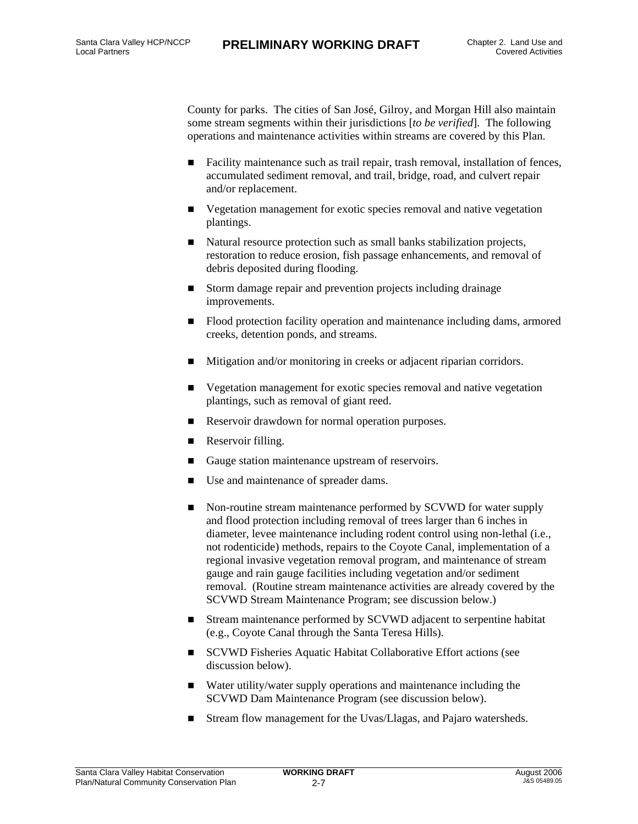County for parks. The cities of San José, Gilroy, and Morgan Hill also maintain some stream segments within their jurisdictions [*to be verified*]. The following operations and maintenance activities within streams are covered by this Plan.

- Facility maintenance such as trail repair, trash removal, installation of fences, accumulated sediment removal, and trail, bridge, road, and culvert repair and/or replacement.
- Vegetation management for exotic species removal and native vegetation plantings.
- Natural resource protection such as small banks stabilization projects, restoration to reduce erosion, fish passage enhancements, and removal of debris deposited during flooding.
- Storm damage repair and prevention projects including drainage improvements.
- Flood protection facility operation and maintenance including dams, armored creeks, detention ponds, and streams.
- Mitigation and/or monitoring in creeks or adjacent riparian corridors.
- Vegetation management for exotic species removal and native vegetation plantings, such as removal of giant reed.
- Reservoir drawdown for normal operation purposes.
- **Reservoir filling.**
- Gauge station maintenance upstream of reservoirs.
- Use and maintenance of spreader dams.
- Non-routine stream maintenance performed by SCVWD for water supply and flood protection including removal of trees larger than 6 inches in diameter, levee maintenance including rodent control using non-lethal (i.e., not rodenticide) methods, repairs to the Coyote Canal, implementation of a regional invasive vegetation removal program, and maintenance of stream gauge and rain gauge facilities including vegetation and/or sediment removal. (Routine stream maintenance activities are already covered by the SCVWD Stream Maintenance Program; see discussion below.)
- Stream maintenance performed by SCVWD adjacent to serpentine habitat (e.g., Coyote Canal through the Santa Teresa Hills).
- SCVWD Fisheries Aquatic Habitat Collaborative Effort actions (see discussion below).
- Water utility/water supply operations and maintenance including the SCVWD Dam Maintenance Program (see discussion below).
- Stream flow management for the Uvas/Llagas, and Pajaro watersheds.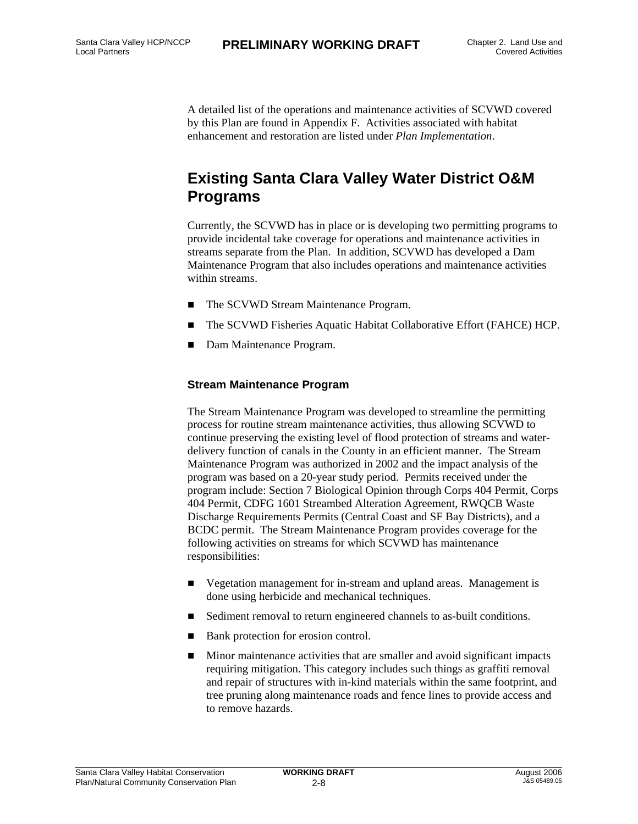A detailed list of the operations and maintenance activities of SCVWD covered by this Plan are found in Appendix F. Activities associated with habitat enhancement and restoration are listed under *Plan Implementation*.

#### **Existing Santa Clara Valley Water District O&M Programs**

Currently, the SCVWD has in place or is developing two permitting programs to provide incidental take coverage for operations and maintenance activities in streams separate from the Plan. In addition, SCVWD has developed a Dam Maintenance Program that also includes operations and maintenance activities within streams.

- The SCVWD Stream Maintenance Program.
- The SCVWD Fisheries Aquatic Habitat Collaborative Effort (FAHCE) HCP.
- Dam Maintenance Program.

#### **Stream Maintenance Program**

The Stream Maintenance Program was developed to streamline the permitting process for routine stream maintenance activities, thus allowing SCVWD to continue preserving the existing level of flood protection of streams and waterdelivery function of canals in the County in an efficient manner. The Stream Maintenance Program was authorized in 2002 and the impact analysis of the program was based on a 20-year study period. Permits received under the program include: Section 7 Biological Opinion through Corps 404 Permit, Corps 404 Permit, CDFG 1601 Streambed Alteration Agreement, RWQCB Waste Discharge Requirements Permits (Central Coast and SF Bay Districts), and a BCDC permit. The Stream Maintenance Program provides coverage for the following activities on streams for which SCVWD has maintenance responsibilities:

- Vegetation management for in-stream and upland areas. Management is done using herbicide and mechanical techniques.
- Sediment removal to return engineered channels to as-built conditions.
- Bank protection for erosion control.
- Minor maintenance activities that are smaller and avoid significant impacts requiring mitigation. This category includes such things as graffiti removal and repair of structures with in-kind materials within the same footprint, and tree pruning along maintenance roads and fence lines to provide access and to remove hazards.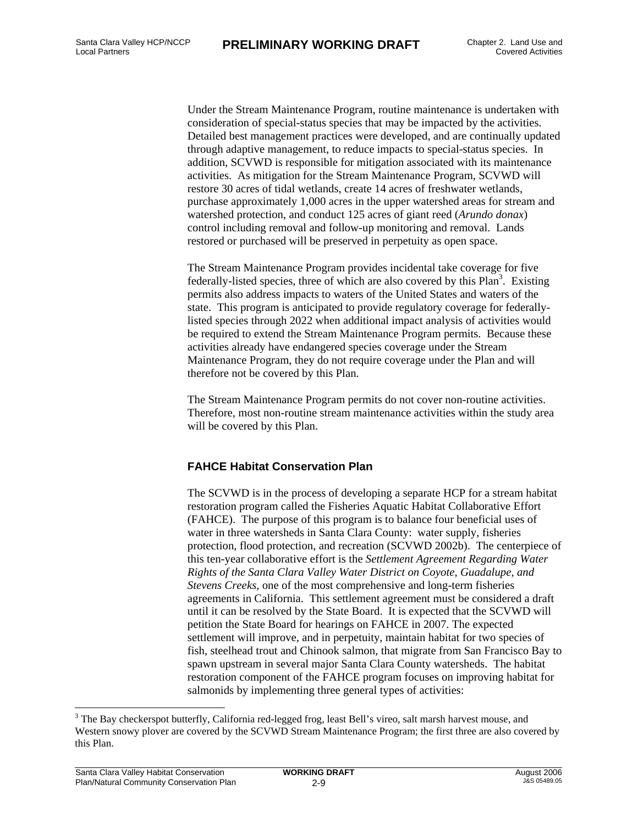Under the Stream Maintenance Program, routine maintenance is undertaken with consideration of special-status species that may be impacted by the activities. Detailed best management practices were developed, and are continually updated through adaptive management, to reduce impacts to special-status species. In addition, SCVWD is responsible for mitigation associated with its maintenance activities. As mitigation for the Stream Maintenance Program, SCVWD will restore 30 acres of tidal wetlands, create 14 acres of freshwater wetlands, purchase approximately 1,000 acres in the upper watershed areas for stream and watershed protection, and conduct 125 acres of giant reed (*Arundo donax*) control including removal and follow-up monitoring and removal. Lands restored or purchased will be preserved in perpetuity as open space.

The Stream Maintenance Program provides incidental take coverage for five federally-listed species, three of which are also covered by this Plan<sup>3</sup>. Existing permits also address impacts to waters of the United States and waters of the state. This program is anticipated to provide regulatory coverage for federallylisted species through 2022 when additional impact analysis of activities would be required to extend the Stream Maintenance Program permits. Because these activities already have endangered species coverage under the Stream Maintenance Program, they do not require coverage under the Plan and will therefore not be covered by this Plan.

The Stream Maintenance Program permits do not cover non-routine activities. Therefore, most non-routine stream maintenance activities within the study area will be covered by this Plan.

#### **FAHCE Habitat Conservation Plan**

The SCVWD is in the process of developing a separate HCP for a stream habitat restoration program called the Fisheries Aquatic Habitat Collaborative Effort (FAHCE). The purpose of this program is to balance four beneficial uses of water in three watersheds in Santa Clara County: water supply, fisheries protection, flood protection, and recreation (SCVWD 2002b). The centerpiece of this ten-year collaborative effort is the *Settlement Agreement Regarding Water Rights of the Santa Clara Valley Water District on Coyote, Guadalupe, and Stevens Creeks*, one of the most comprehensive and long-term fisheries agreements in California. This settlement agreement must be considered a draft until it can be resolved by the State Board. It is expected that the SCVWD will petition the State Board for hearings on FAHCE in 2007. The expected settlement will improve, and in perpetuity, maintain habitat for two species of fish, steelhead trout and Chinook salmon, that migrate from San Francisco Bay to spawn upstream in several major Santa Clara County watersheds. The habitat restoration component of the FAHCE program focuses on improving habitat for salmonids by implementing three general types of activities:

1

<sup>&</sup>lt;sup>3</sup> The Bay checkerspot butterfly, California red-legged frog, least Bell's vireo, salt marsh harvest mouse, and Western snowy plover are covered by the SCVWD Stream Maintenance Program; the first three are also covered by this Plan.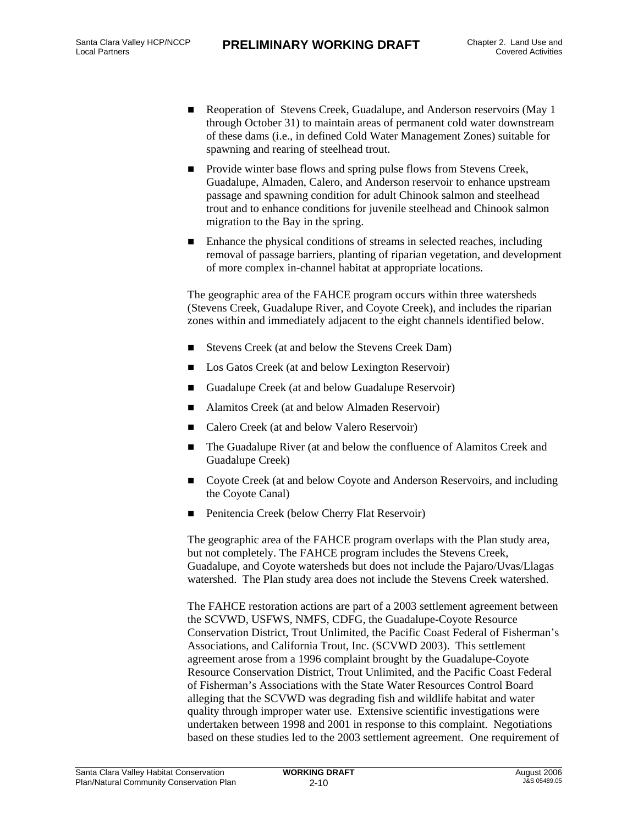- Reoperation of Stevens Creek, Guadalupe, and Anderson reservoirs (May 1 through October 31) to maintain areas of permanent cold water downstream of these dams (i.e., in defined Cold Water Management Zones) suitable for spawning and rearing of steelhead trout.
- **Provide winter base flows and spring pulse flows from Stevens Creek,** Guadalupe, Almaden, Calero, and Anderson reservoir to enhance upstream passage and spawning condition for adult Chinook salmon and steelhead trout and to enhance conditions for juvenile steelhead and Chinook salmon migration to the Bay in the spring.
- Enhance the physical conditions of streams in selected reaches, including removal of passage barriers, planting of riparian vegetation, and development of more complex in-channel habitat at appropriate locations.

The geographic area of the FAHCE program occurs within three watersheds (Stevens Creek, Guadalupe River, and Coyote Creek), and includes the riparian zones within and immediately adjacent to the eight channels identified below.

- Stevens Creek (at and below the Stevens Creek Dam)
- Los Gatos Creek (at and below Lexington Reservoir)
- Guadalupe Creek (at and below Guadalupe Reservoir)
- Alamitos Creek (at and below Almaden Reservoir)
- Calero Creek (at and below Valero Reservoir)
- The Guadalupe River (at and below the confluence of Alamitos Creek and Guadalupe Creek)
- Coyote Creek (at and below Coyote and Anderson Reservoirs, and including the Coyote Canal)
- Penitencia Creek (below Cherry Flat Reservoir)

The geographic area of the FAHCE program overlaps with the Plan study area, but not completely. The FAHCE program includes the Stevens Creek, Guadalupe, and Coyote watersheds but does not include the Pajaro/Uvas/Llagas watershed. The Plan study area does not include the Stevens Creek watershed.

The FAHCE restoration actions are part of a 2003 settlement agreement between the SCVWD, USFWS, NMFS, CDFG, the Guadalupe-Coyote Resource Conservation District, Trout Unlimited, the Pacific Coast Federal of Fisherman's Associations, and California Trout, Inc. (SCVWD 2003). This settlement agreement arose from a 1996 complaint brought by the Guadalupe-Coyote Resource Conservation District, Trout Unlimited, and the Pacific Coast Federal of Fisherman's Associations with the State Water Resources Control Board alleging that the SCVWD was degrading fish and wildlife habitat and water quality through improper water use. Extensive scientific investigations were undertaken between 1998 and 2001 in response to this complaint. Negotiations based on these studies led to the 2003 settlement agreement. One requirement of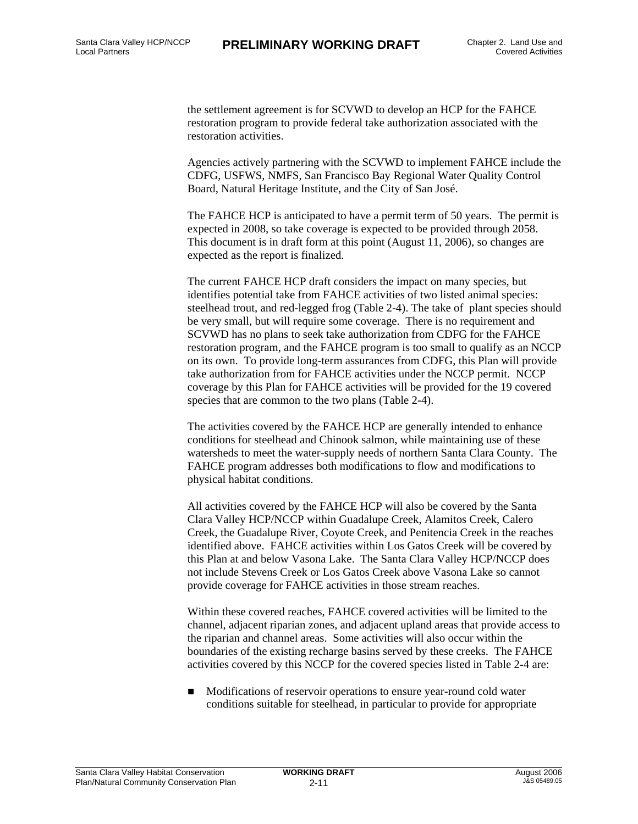the settlement agreement is for SCVWD to develop an HCP for the FAHCE restoration program to provide federal take authorization associated with the restoration activities.

Agencies actively partnering with the SCVWD to implement FAHCE include the CDFG, USFWS, NMFS, San Francisco Bay Regional Water Quality Control Board, Natural Heritage Institute, and the City of San José.

The FAHCE HCP is anticipated to have a permit term of 50 years. The permit is expected in 2008, so take coverage is expected to be provided through 2058. This document is in draft form at this point (August 11, 2006), so changes are expected as the report is finalized.

The current FAHCE HCP draft considers the impact on many species, but identifies potential take from FAHCE activities of two listed animal species: steelhead trout, and red-legged frog (Table 2-4). The take of plant species should be very small, but will require some coverage. There is no requirement and SCVWD has no plans to seek take authorization from CDFG for the FAHCE restoration program, and the FAHCE program is too small to qualify as an NCCP on its own. To provide long-term assurances from CDFG, this Plan will provide take authorization from for FAHCE activities under the NCCP permit. NCCP coverage by this Plan for FAHCE activities will be provided for the 19 covered species that are common to the two plans (Table 2-4).

The activities covered by the FAHCE HCP are generally intended to enhance conditions for steelhead and Chinook salmon, while maintaining use of these watersheds to meet the water-supply needs of northern Santa Clara County. The FAHCE program addresses both modifications to flow and modifications to physical habitat conditions.

All activities covered by the FAHCE HCP will also be covered by the Santa Clara Valley HCP/NCCP within Guadalupe Creek, Alamitos Creek, Calero Creek, the Guadalupe River, Coyote Creek, and Penitencia Creek in the reaches identified above. FAHCE activities within Los Gatos Creek will be covered by this Plan at and below Vasona Lake. The Santa Clara Valley HCP/NCCP does not include Stevens Creek or Los Gatos Creek above Vasona Lake so cannot provide coverage for FAHCE activities in those stream reaches.

Within these covered reaches, FAHCE covered activities will be limited to the channel, adjacent riparian zones, and adjacent upland areas that provide access to the riparian and channel areas. Some activities will also occur within the boundaries of the existing recharge basins served by these creeks. The FAHCE activities covered by this NCCP for the covered species listed in Table 2-4 are:

■ Modifications of reservoir operations to ensure year-round cold water conditions suitable for steelhead, in particular to provide for appropriate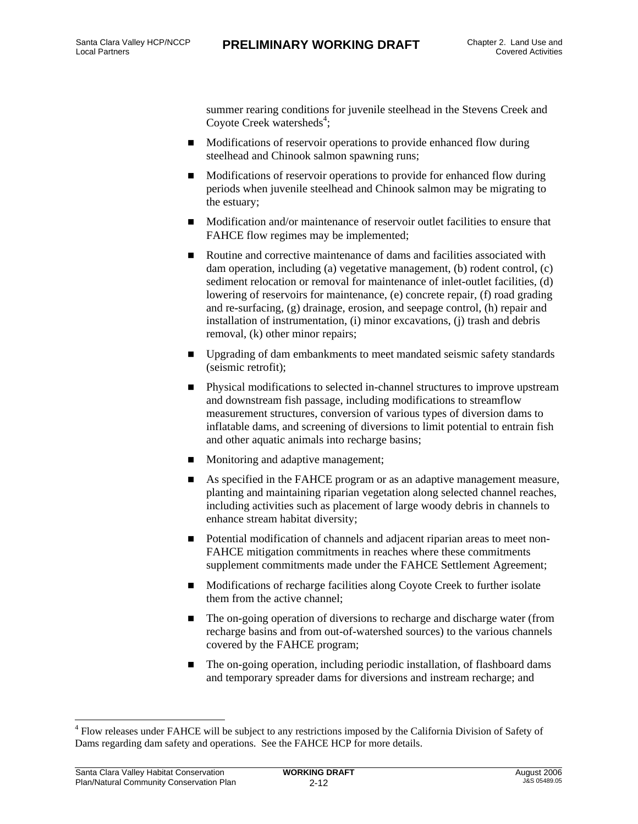summer rearing conditions for juvenile steelhead in the Stevens Creek and Coyote Creek watersheds<sup>4</sup>;

- **Modifications of reservoir operations to provide enhanced flow during** steelhead and Chinook salmon spawning runs;
- Modifications of reservoir operations to provide for enhanced flow during periods when juvenile steelhead and Chinook salmon may be migrating to the estuary;
- **Modification and/or maintenance of reservoir outlet facilities to ensure that** FAHCE flow regimes may be implemented;
- Routine and corrective maintenance of dams and facilities associated with dam operation, including (a) vegetative management, (b) rodent control, (c) sediment relocation or removal for maintenance of inlet-outlet facilities, (d) lowering of reservoirs for maintenance, (e) concrete repair, (f) road grading and re-surfacing, (g) drainage, erosion, and seepage control, (h) repair and installation of instrumentation, (i) minor excavations, (j) trash and debris removal, (k) other minor repairs;
- Upgrading of dam embankments to meet mandated seismic safety standards (seismic retrofit);
- Physical modifications to selected in-channel structures to improve upstream and downstream fish passage, including modifications to streamflow measurement structures, conversion of various types of diversion dams to inflatable dams, and screening of diversions to limit potential to entrain fish and other aquatic animals into recharge basins;
- **Monitoring and adaptive management;**
- As specified in the FAHCE program or as an adaptive management measure, planting and maintaining riparian vegetation along selected channel reaches, including activities such as placement of large woody debris in channels to enhance stream habitat diversity;
- Potential modification of channels and adjacent riparian areas to meet non-FAHCE mitigation commitments in reaches where these commitments supplement commitments made under the FAHCE Settlement Agreement;
- Modifications of recharge facilities along Coyote Creek to further isolate them from the active channel;
- The on-going operation of diversions to recharge and discharge water (from recharge basins and from out-of-watershed sources) to the various channels covered by the FAHCE program;
- The on-going operation, including periodic installation, of flashboard dams and temporary spreader dams for diversions and instream recharge; and

l

<sup>&</sup>lt;sup>4</sup> Flow releases under FAHCE will be subject to any restrictions imposed by the California Division of Safety of Dams regarding dam safety and operations. See the FAHCE HCP for more details.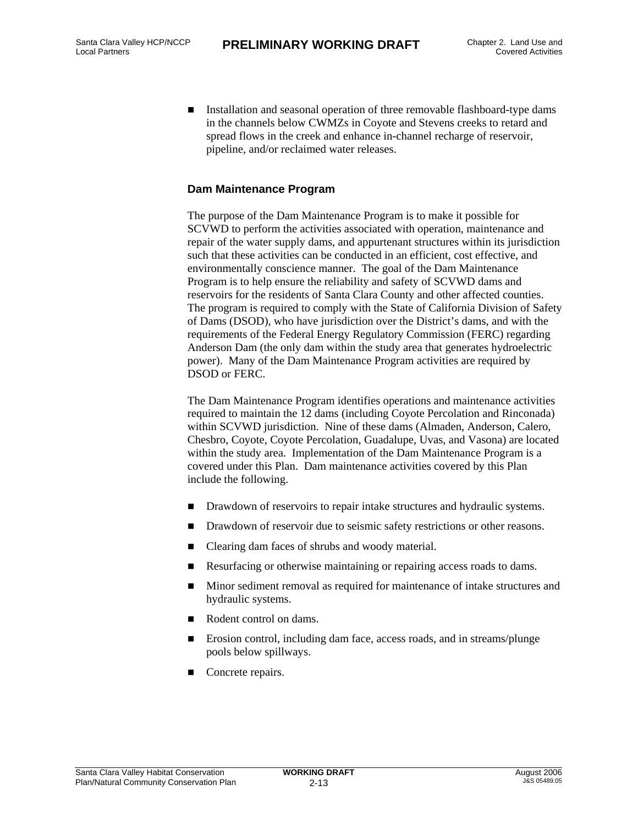Installation and seasonal operation of three removable flashboard-type dams in the channels below CWMZs in Coyote and Stevens creeks to retard and spread flows in the creek and enhance in-channel recharge of reservoir, pipeline, and/or reclaimed water releases.

#### **Dam Maintenance Program**

The purpose of the Dam Maintenance Program is to make it possible for SCVWD to perform the activities associated with operation, maintenance and repair of the water supply dams, and appurtenant structures within its jurisdiction such that these activities can be conducted in an efficient, cost effective, and environmentally conscience manner. The goal of the Dam Maintenance Program is to help ensure the reliability and safety of SCVWD dams and reservoirs for the residents of Santa Clara County and other affected counties. The program is required to comply with the State of California Division of Safety of Dams (DSOD), who have jurisdiction over the District's dams, and with the requirements of the Federal Energy Regulatory Commission (FERC) regarding Anderson Dam (the only dam within the study area that generates hydroelectric power). Many of the Dam Maintenance Program activities are required by DSOD or FERC.

The Dam Maintenance Program identifies operations and maintenance activities required to maintain the 12 dams (including Coyote Percolation and Rinconada) within SCVWD jurisdiction. Nine of these dams (Almaden, Anderson, Calero, Chesbro, Coyote, Coyote Percolation, Guadalupe, Uvas, and Vasona) are located within the study area. Implementation of the Dam Maintenance Program is a covered under this Plan. Dam maintenance activities covered by this Plan include the following.

- Drawdown of reservoirs to repair intake structures and hydraulic systems.
- Drawdown of reservoir due to seismic safety restrictions or other reasons.
- Clearing dam faces of shrubs and woody material.
- Resurfacing or otherwise maintaining or repairing access roads to dams.
- Minor sediment removal as required for maintenance of intake structures and hydraulic systems.
- Rodent control on dams.
- Erosion control, including dam face, access roads, and in streams/plunge pools below spillways.
- Concrete repairs.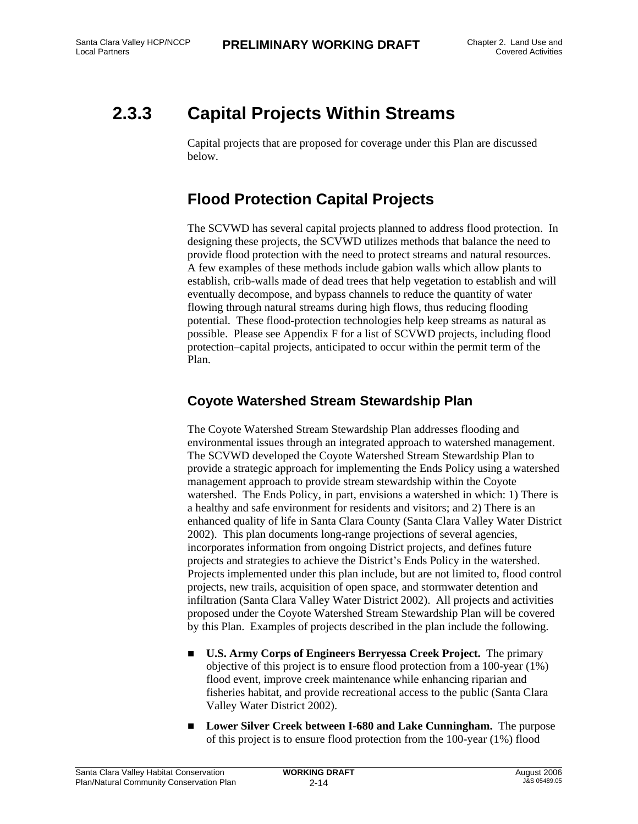## **2.3.3 Capital Projects Within Streams**

Capital projects that are proposed for coverage under this Plan are discussed below.

### **Flood Protection Capital Projects**

The SCVWD has several capital projects planned to address flood protection. In designing these projects, the SCVWD utilizes methods that balance the need to provide flood protection with the need to protect streams and natural resources. A few examples of these methods include gabion walls which allow plants to establish, crib-walls made of dead trees that help vegetation to establish and will eventually decompose, and bypass channels to reduce the quantity of water flowing through natural streams during high flows, thus reducing flooding potential. These flood-protection technologies help keep streams as natural as possible. Please see Appendix F for a list of SCVWD projects, including flood protection–capital projects, anticipated to occur within the permit term of the Plan.

#### **Coyote Watershed Stream Stewardship Plan**

The Coyote Watershed Stream Stewardship Plan addresses flooding and environmental issues through an integrated approach to watershed management. The SCVWD developed the Coyote Watershed Stream Stewardship Plan to provide a strategic approach for implementing the Ends Policy using a watershed management approach to provide stream stewardship within the Coyote watershed. The Ends Policy, in part, envisions a watershed in which: 1) There is a healthy and safe environment for residents and visitors; and 2) There is an enhanced quality of life in Santa Clara County (Santa Clara Valley Water District 2002). This plan documents long-range projections of several agencies, incorporates information from ongoing District projects, and defines future projects and strategies to achieve the District's Ends Policy in the watershed. Projects implemented under this plan include, but are not limited to, flood control projects, new trails, acquisition of open space, and stormwater detention and infiltration (Santa Clara Valley Water District 2002). All projects and activities proposed under the Coyote Watershed Stream Stewardship Plan will be covered by this Plan. Examples of projects described in the plan include the following.

- **U.S. Army Corps of Engineers Berryessa Creek Project.** The primary objective of this project is to ensure flood protection from a 100-year (1%) flood event, improve creek maintenance while enhancing riparian and fisheries habitat, and provide recreational access to the public (Santa Clara Valley Water District 2002).
- Lower Silver Creek between I-680 and Lake Cunningham. The purpose of this project is to ensure flood protection from the 100-year (1%) flood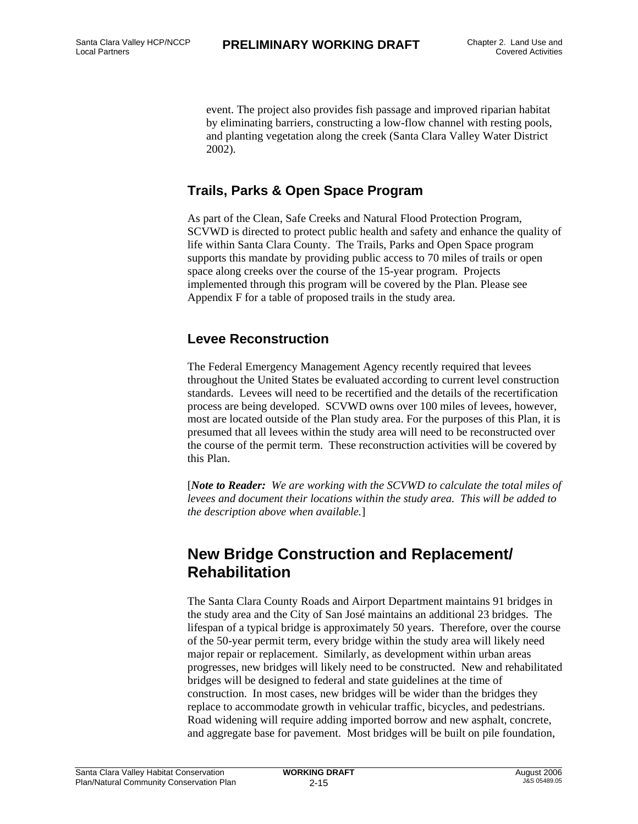event. The project also provides fish passage and improved riparian habitat by eliminating barriers, constructing a low-flow channel with resting pools, and planting vegetation along the creek (Santa Clara Valley Water District 2002).

#### **Trails, Parks & Open Space Program**

As part of the Clean, Safe Creeks and Natural Flood Protection Program, SCVWD is directed to protect public health and safety and enhance the quality of life within Santa Clara County. The Trails, Parks and Open Space program supports this mandate by providing public access to 70 miles of trails or open space along creeks over the course of the 15-year program. Projects implemented through this program will be covered by the Plan. Please see Appendix F for a table of proposed trails in the study area.

#### **Levee Reconstruction**

The Federal Emergency Management Agency recently required that levees throughout the United States be evaluated according to current level construction standards. Levees will need to be recertified and the details of the recertification process are being developed. SCVWD owns over 100 miles of levees, however, most are located outside of the Plan study area. For the purposes of this Plan, it is presumed that all levees within the study area will need to be reconstructed over the course of the permit term. These reconstruction activities will be covered by this Plan.

[*Note to Reader: We are working with the SCVWD to calculate the total miles of levees and document their locations within the study area. This will be added to the description above when available.*]

#### **New Bridge Construction and Replacement/ Rehabilitation**

The Santa Clara County Roads and Airport Department maintains 91 bridges in the study area and the City of San José maintains an additional 23 bridges. The lifespan of a typical bridge is approximately 50 years. Therefore, over the course of the 50-year permit term, every bridge within the study area will likely need major repair or replacement. Similarly, as development within urban areas progresses, new bridges will likely need to be constructed. New and rehabilitated bridges will be designed to federal and state guidelines at the time of construction. In most cases, new bridges will be wider than the bridges they replace to accommodate growth in vehicular traffic, bicycles, and pedestrians. Road widening will require adding imported borrow and new asphalt, concrete, and aggregate base for pavement. Most bridges will be built on pile foundation,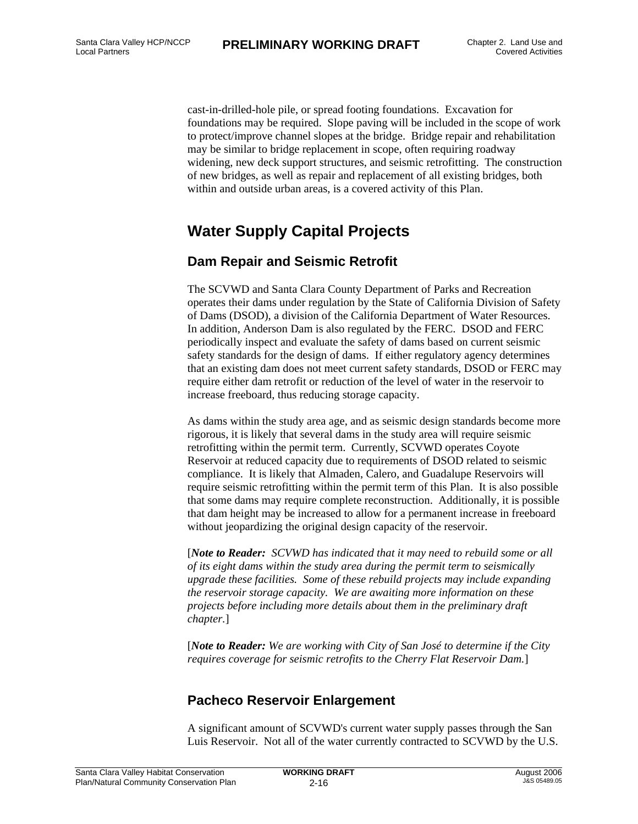cast-in-drilled-hole pile, or spread footing foundations. Excavation for foundations may be required. Slope paving will be included in the scope of work to protect/improve channel slopes at the bridge. Bridge repair and rehabilitation may be similar to bridge replacement in scope, often requiring roadway widening, new deck support structures, and seismic retrofitting. The construction of new bridges, as well as repair and replacement of all existing bridges, both within and outside urban areas, is a covered activity of this Plan.

#### **Water Supply Capital Projects**

#### **Dam Repair and Seismic Retrofit**

The SCVWD and Santa Clara County Department of Parks and Recreation operates their dams under regulation by the State of California Division of Safety of Dams (DSOD), a division of the California Department of Water Resources. In addition, Anderson Dam is also regulated by the FERC. DSOD and FERC periodically inspect and evaluate the safety of dams based on current seismic safety standards for the design of dams. If either regulatory agency determines that an existing dam does not meet current safety standards, DSOD or FERC may require either dam retrofit or reduction of the level of water in the reservoir to increase freeboard, thus reducing storage capacity.

As dams within the study area age, and as seismic design standards become more rigorous, it is likely that several dams in the study area will require seismic retrofitting within the permit term. Currently, SCVWD operates Coyote Reservoir at reduced capacity due to requirements of DSOD related to seismic compliance. It is likely that Almaden, Calero, and Guadalupe Reservoirs will require seismic retrofitting within the permit term of this Plan. It is also possible that some dams may require complete reconstruction. Additionally, it is possible that dam height may be increased to allow for a permanent increase in freeboard without jeopardizing the original design capacity of the reservoir.

[*Note to Reader: SCVWD has indicated that it may need to rebuild some or all of its eight dams within the study area during the permit term to seismically upgrade these facilities. Some of these rebuild projects may include expanding the reservoir storage capacity. We are awaiting more information on these projects before including more details about them in the preliminary draft chapter.*]

[*Note to Reader: We are working with City of San José to determine if the City requires coverage for seismic retrofits to the Cherry Flat Reservoir Dam.*]

#### **Pacheco Reservoir Enlargement**

A significant amount of SCVWD's current water supply passes through the San Luis Reservoir. Not all of the water currently contracted to SCVWD by the U.S.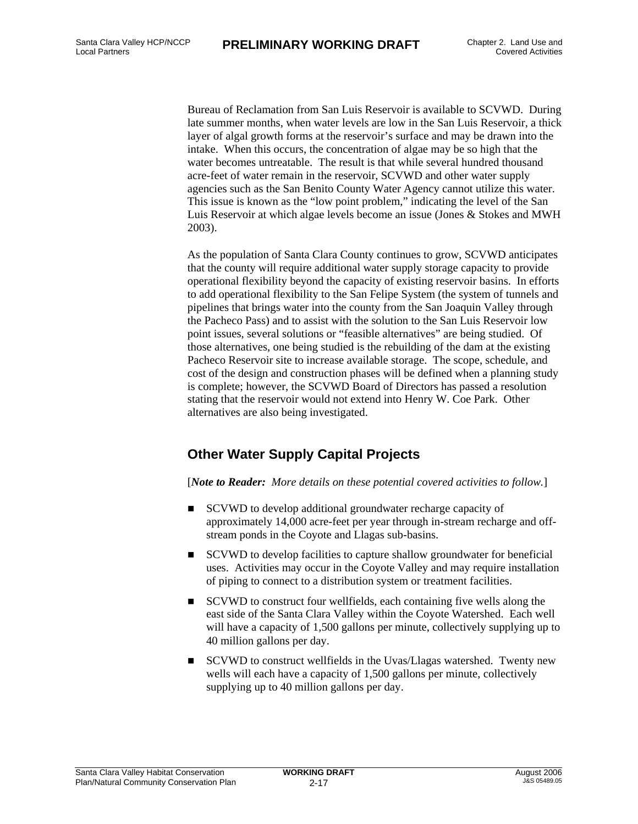Bureau of Reclamation from San Luis Reservoir is available to SCVWD. During late summer months, when water levels are low in the San Luis Reservoir, a thick layer of algal growth forms at the reservoir's surface and may be drawn into the intake. When this occurs, the concentration of algae may be so high that the water becomes untreatable. The result is that while several hundred thousand acre-feet of water remain in the reservoir, SCVWD and other water supply agencies such as the San Benito County Water Agency cannot utilize this water. This issue is known as the "low point problem," indicating the level of the San Luis Reservoir at which algae levels become an issue (Jones & Stokes and MWH 2003).

As the population of Santa Clara County continues to grow, SCVWD anticipates that the county will require additional water supply storage capacity to provide operational flexibility beyond the capacity of existing reservoir basins. In efforts to add operational flexibility to the San Felipe System (the system of tunnels and pipelines that brings water into the county from the San Joaquin Valley through the Pacheco Pass) and to assist with the solution to the San Luis Reservoir low point issues, several solutions or "feasible alternatives" are being studied. Of those alternatives, one being studied is the rebuilding of the dam at the existing Pacheco Reservoir site to increase available storage. The scope, schedule, and cost of the design and construction phases will be defined when a planning study is complete; however, the SCVWD Board of Directors has passed a resolution stating that the reservoir would not extend into Henry W. Coe Park. Other alternatives are also being investigated.

#### **Other Water Supply Capital Projects**

[*Note to Reader: More details on these potential covered activities to follow.*]

- SCVWD to develop additional groundwater recharge capacity of approximately 14,000 acre-feet per year through in-stream recharge and offstream ponds in the Coyote and Llagas sub-basins.
- SCVWD to develop facilities to capture shallow groundwater for beneficial uses. Activities may occur in the Coyote Valley and may require installation of piping to connect to a distribution system or treatment facilities.
- SCVWD to construct four wellfields, each containing five wells along the east side of the Santa Clara Valley within the Coyote Watershed. Each well will have a capacity of 1,500 gallons per minute, collectively supplying up to 40 million gallons per day.
- SCVWD to construct wellfields in the Uvas/Llagas watershed. Twenty new wells will each have a capacity of 1,500 gallons per minute, collectively supplying up to 40 million gallons per day.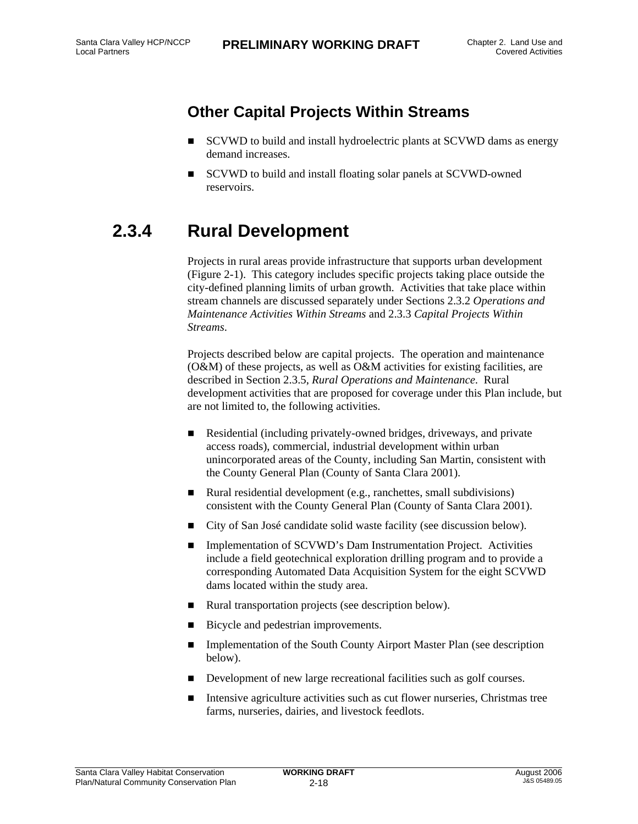### **Other Capital Projects Within Streams**

- SCVWD to build and install hydroelectric plants at SCVWD dams as energy demand increases.
- SCVWD to build and install floating solar panels at SCVWD-owned reservoirs.

## **2.3.4 Rural Development**

Projects in rural areas provide infrastructure that supports urban development (Figure 2-1). This category includes specific projects taking place outside the city-defined planning limits of urban growth. Activities that take place within stream channels are discussed separately under Sections 2.3.2 *Operations and Maintenance Activities Within Streams* and 2.3.3 *Capital Projects Within Streams*.

Projects described below are capital projects. The operation and maintenance (O&M) of these projects, as well as O&M activities for existing facilities, are described in Section 2.3.5, *Rural Operations and Maintenance*. Rural development activities that are proposed for coverage under this Plan include, but are not limited to, the following activities.

- Residential (including privately-owned bridges, driveways, and private access roads), commercial, industrial development within urban unincorporated areas of the County, including San Martin, consistent with the County General Plan (County of Santa Clara 2001).
- Rural residential development (e.g., ranchettes, small subdivisions) consistent with the County General Plan (County of Santa Clara 2001).
- City of San José candidate solid waste facility (see discussion below).
- Implementation of SCVWD's Dam Instrumentation Project. Activities include a field geotechnical exploration drilling program and to provide a corresponding Automated Data Acquisition System for the eight SCVWD dams located within the study area.
- Rural transportation projects (see description below).
- Bicycle and pedestrian improvements.
- Implementation of the South County Airport Master Plan (see description below).
- Development of new large recreational facilities such as golf courses.
- $\blacksquare$  Intensive agriculture activities such as cut flower nurseries, Christmas tree farms, nurseries, dairies, and livestock feedlots.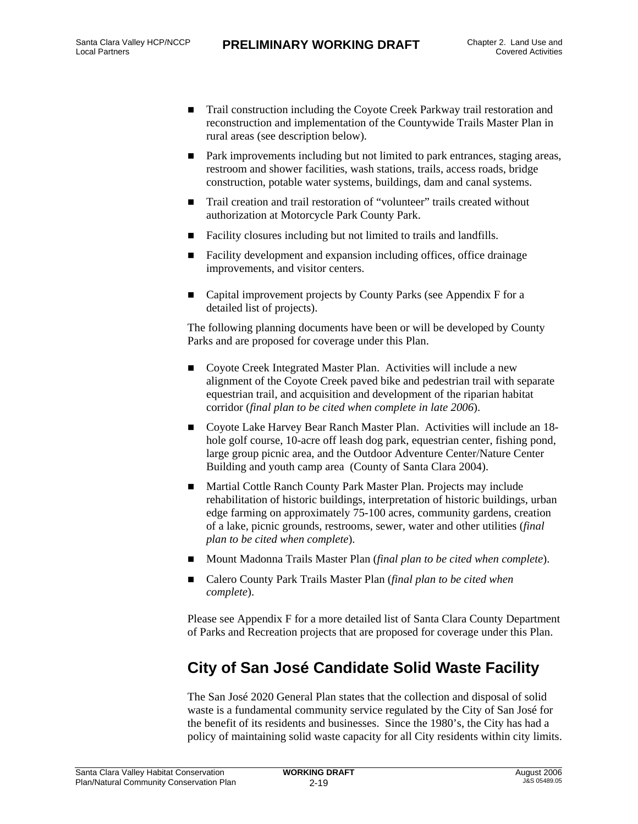- Trail construction including the Coyote Creek Parkway trail restoration and reconstruction and implementation of the Countywide Trails Master Plan in rural areas (see description below).
- Park improvements including but not limited to park entrances, staging areas, restroom and shower facilities, wash stations, trails, access roads, bridge construction, potable water systems, buildings, dam and canal systems.
- Trail creation and trail restoration of "volunteer" trails created without authorization at Motorcycle Park County Park.
- Facility closures including but not limited to trails and landfills.
- Facility development and expansion including offices, office drainage improvements, and visitor centers.
- Capital improvement projects by County Parks (see Appendix F for a detailed list of projects).

The following planning documents have been or will be developed by County Parks and are proposed for coverage under this Plan.

- Covote Creek Integrated Master Plan. Activities will include a new alignment of the Coyote Creek paved bike and pedestrian trail with separate equestrian trail, and acquisition and development of the riparian habitat corridor (*final plan to be cited when complete in late 2006*).
- Coyote Lake Harvey Bear Ranch Master Plan. Activities will include an 18 hole golf course, 10-acre off leash dog park, equestrian center, fishing pond, large group picnic area, and the Outdoor Adventure Center/Nature Center Building and youth camp area (County of Santa Clara 2004).
- Martial Cottle Ranch County Park Master Plan. Projects may include rehabilitation of historic buildings, interpretation of historic buildings, urban edge farming on approximately 75-100 acres, community gardens, creation of a lake, picnic grounds, restrooms, sewer, water and other utilities (*final plan to be cited when complete*).
- Mount Madonna Trails Master Plan (*final plan to be cited when complete*).
- Calero County Park Trails Master Plan (*final plan to be cited when complete*).

Please see Appendix F for a more detailed list of Santa Clara County Department of Parks and Recreation projects that are proposed for coverage under this Plan.

### **City of San José Candidate Solid Waste Facility**

The San José 2020 General Plan states that the collection and disposal of solid waste is a fundamental community service regulated by the City of San José for the benefit of its residents and businesses. Since the 1980's, the City has had a policy of maintaining solid waste capacity for all City residents within city limits.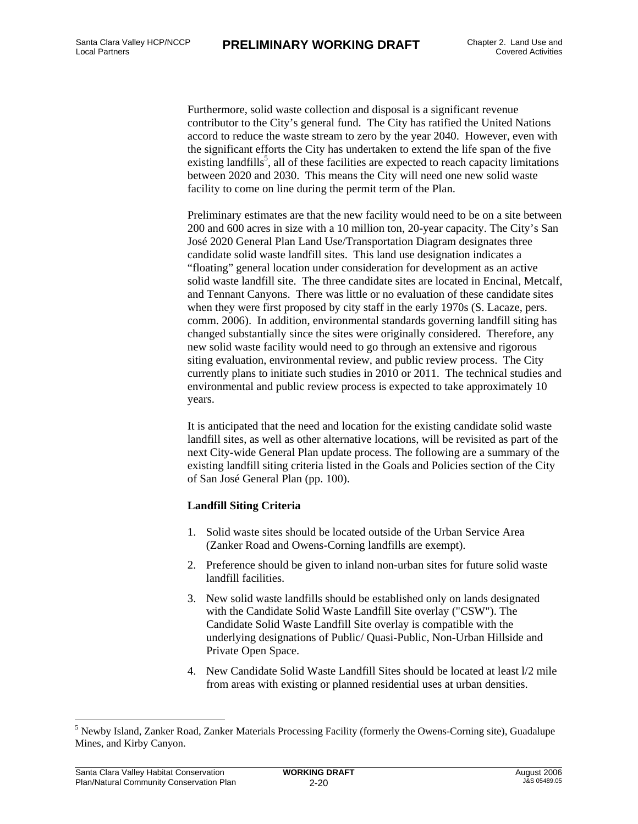Furthermore, solid waste collection and disposal is a significant revenue contributor to the City's general fund. The City has ratified the United Nations accord to reduce the waste stream to zero by the year 2040. However, even with the significant efforts the City has undertaken to extend the life span of the five existing landfills<sup>5</sup>, all of these facilities are expected to reach capacity limitations between 2020 and 2030. This means the City will need one new solid waste facility to come on line during the permit term of the Plan.

Preliminary estimates are that the new facility would need to be on a site between 200 and 600 acres in size with a 10 million ton, 20-year capacity. The City's San José 2020 General Plan Land Use/Transportation Diagram designates three candidate solid waste landfill sites. This land use designation indicates a "floating" general location under consideration for development as an active solid waste landfill site. The three candidate sites are located in Encinal, Metcalf, and Tennant Canyons. There was little or no evaluation of these candidate sites when they were first proposed by city staff in the early 1970s (S. Lacaze, pers. comm. 2006). In addition, environmental standards governing landfill siting has changed substantially since the sites were originally considered. Therefore, any new solid waste facility would need to go through an extensive and rigorous siting evaluation, environmental review, and public review process. The City currently plans to initiate such studies in 2010 or 2011. The technical studies and environmental and public review process is expected to take approximately 10 years.

It is anticipated that the need and location for the existing candidate solid waste landfill sites, as well as other alternative locations, will be revisited as part of the next City-wide General Plan update process. The following are a summary of the existing landfill siting criteria listed in the Goals and Policies section of the City of San José General Plan (pp. 100).

#### **Landfill Siting Criteria**

- 1. Solid waste sites should be located outside of the Urban Service Area (Zanker Road and Owens-Corning landfills are exempt).
- 2. Preference should be given to inland non-urban sites for future solid waste landfill facilities.
- 3. New solid waste landfills should be established only on lands designated with the Candidate Solid Waste Landfill Site overlay ("CSW"). The Candidate Solid Waste Landfill Site overlay is compatible with the underlying designations of Public/ Quasi-Public, Non-Urban Hillside and Private Open Space.
- 4. New Candidate Solid Waste Landfill Sites should be located at least l/2 mile from areas with existing or planned residential uses at urban densities.

l

<sup>&</sup>lt;sup>5</sup> Newby Island, Zanker Road, Zanker Materials Processing Facility (formerly the Owens-Corning site), Guadalupe Mines, and Kirby Canyon.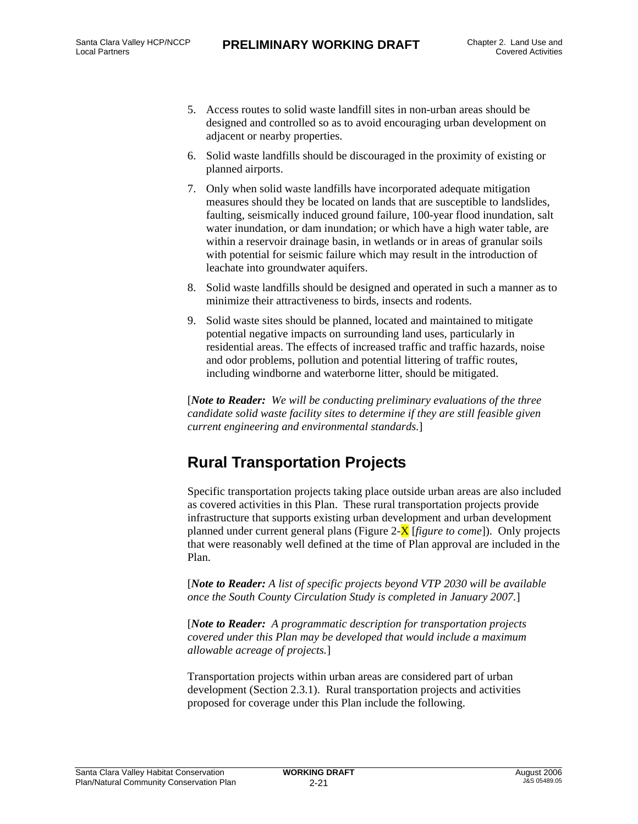- 5. Access routes to solid waste landfill sites in non-urban areas should be designed and controlled so as to avoid encouraging urban development on adjacent or nearby properties.
- 6. Solid waste landfills should be discouraged in the proximity of existing or planned airports.
- 7. Only when solid waste landfills have incorporated adequate mitigation measures should they be located on lands that are susceptible to landslides, faulting, seismically induced ground failure, 100-year flood inundation, salt water inundation, or dam inundation; or which have a high water table, are within a reservoir drainage basin, in wetlands or in areas of granular soils with potential for seismic failure which may result in the introduction of leachate into groundwater aquifers.
- 8. Solid waste landfills should be designed and operated in such a manner as to minimize their attractiveness to birds, insects and rodents.
- 9. Solid waste sites should be planned, located and maintained to mitigate potential negative impacts on surrounding land uses, particularly in residential areas. The effects of increased traffic and traffic hazards, noise and odor problems, pollution and potential littering of traffic routes, including windborne and waterborne litter, should be mitigated.

[*Note to Reader: We will be conducting preliminary evaluations of the three candidate solid waste facility sites to determine if they are still feasible given current engineering and environmental standards.*]

#### **Rural Transportation Projects**

Specific transportation projects taking place outside urban areas are also included as covered activities in this Plan. These rural transportation projects provide infrastructure that supports existing urban development and urban development planned under current general plans (Figure 2-X [*figure to come*]). Only projects that were reasonably well defined at the time of Plan approval are included in the Plan.

[*Note to Reader: A list of specific projects beyond VTP 2030 will be available once the South County Circulation Study is completed in January 2007.*]

[*Note to Reader: A programmatic description for transportation projects covered under this Plan may be developed that would include a maximum allowable acreage of projects.*]

Transportation projects within urban areas are considered part of urban development (Section 2.3.1). Rural transportation projects and activities proposed for coverage under this Plan include the following.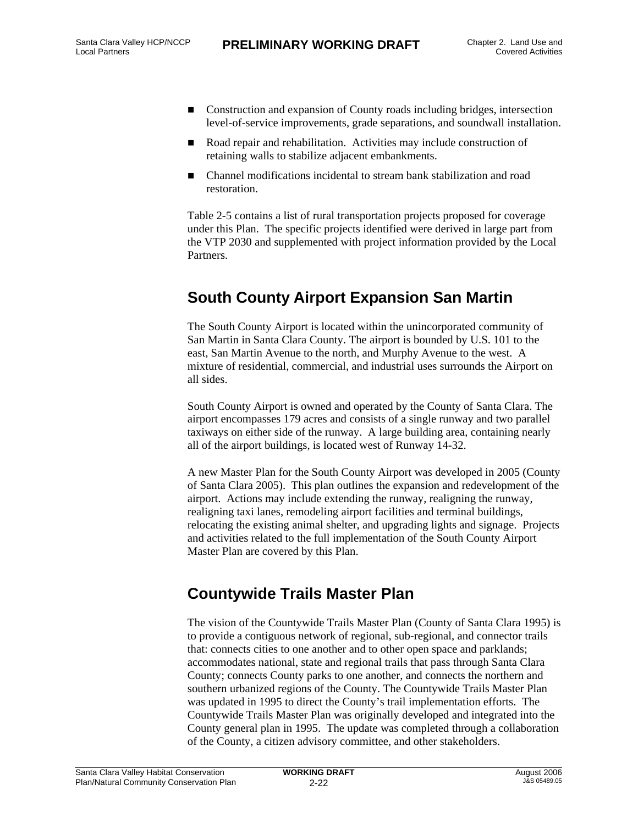- Construction and expansion of County roads including bridges, intersection level-of-service improvements, grade separations, and soundwall installation.
- Road repair and rehabilitation. Activities may include construction of retaining walls to stabilize adjacent embankments.
- Channel modifications incidental to stream bank stabilization and road restoration.

Table 2-5 contains a list of rural transportation projects proposed for coverage under this Plan. The specific projects identified were derived in large part from the VTP 2030 and supplemented with project information provided by the Local Partners.

#### **South County Airport Expansion San Martin**

The South County Airport is located within the unincorporated community of San Martin in Santa Clara County. The airport is bounded by U.S. 101 to the east, San Martin Avenue to the north, and Murphy Avenue to the west. A mixture of residential, commercial, and industrial uses surrounds the Airport on all sides.

South County Airport is owned and operated by the County of Santa Clara. The airport encompasses 179 acres and consists of a single runway and two parallel taxiways on either side of the runway. A large building area, containing nearly all of the airport buildings, is located west of Runway 14-32.

A new Master Plan for the South County Airport was developed in 2005 (County of Santa Clara 2005). This plan outlines the expansion and redevelopment of the airport. Actions may include extending the runway, realigning the runway, realigning taxi lanes, remodeling airport facilities and terminal buildings, relocating the existing animal shelter, and upgrading lights and signage. Projects and activities related to the full implementation of the South County Airport Master Plan are covered by this Plan.

#### **Countywide Trails Master Plan**

The vision of the Countywide Trails Master Plan (County of Santa Clara 1995) is to provide a contiguous network of regional, sub-regional, and connector trails that: connects cities to one another and to other open space and parklands; accommodates national, state and regional trails that pass through Santa Clara County; connects County parks to one another, and connects the northern and southern urbanized regions of the County. The Countywide Trails Master Plan was updated in 1995 to direct the County's trail implementation efforts. The Countywide Trails Master Plan was originally developed and integrated into the County general plan in 1995. The update was completed through a collaboration of the County, a citizen advisory committee, and other stakeholders.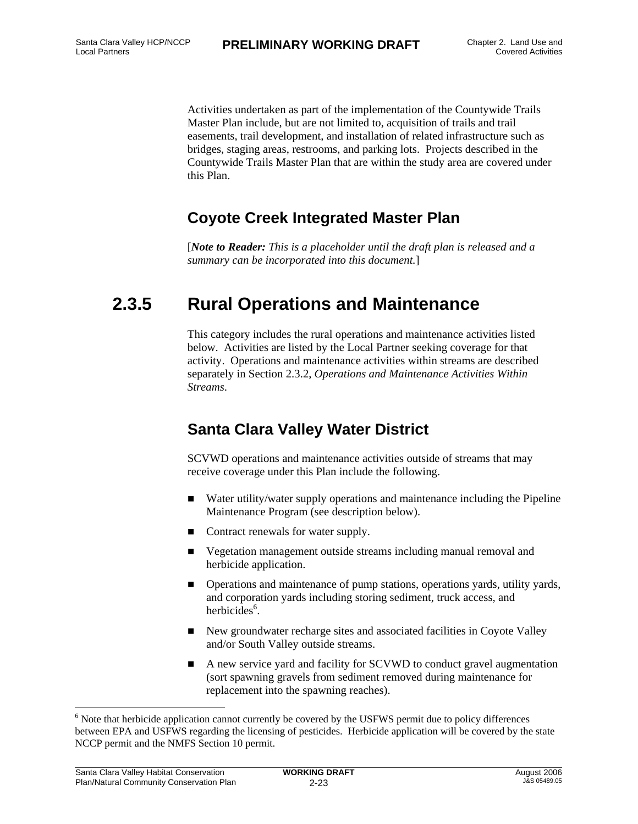Activities undertaken as part of the implementation of the Countywide Trails Master Plan include, but are not limited to, acquisition of trails and trail easements, trail development, and installation of related infrastructure such as bridges, staging areas, restrooms, and parking lots. Projects described in the Countywide Trails Master Plan that are within the study area are covered under this Plan.

#### **Coyote Creek Integrated Master Plan**

[*Note to Reader: This is a placeholder until the draft plan is released and a summary can be incorporated into this document.*]

## **2.3.5 Rural Operations and Maintenance**

This category includes the rural operations and maintenance activities listed below. Activities are listed by the Local Partner seeking coverage for that activity. Operations and maintenance activities within streams are described separately in Section 2.3.2, *Operations and Maintenance Activities Within Streams*.

#### **Santa Clara Valley Water District**

SCVWD operations and maintenance activities outside of streams that may receive coverage under this Plan include the following.

- Water utility/water supply operations and maintenance including the Pipeline Maintenance Program (see description below).
- Contract renewals for water supply.
- Vegetation management outside streams including manual removal and herbicide application.
- Operations and maintenance of pump stations, operations yards, utility yards, and corporation yards including storing sediment, truck access, and herbicides<sup>6</sup>.
- New groundwater recharge sites and associated facilities in Coyote Valley and/or South Valley outside streams.
- A new service yard and facility for SCVWD to conduct gravel augmentation (sort spawning gravels from sediment removed during maintenance for replacement into the spawning reaches).

l

<sup>&</sup>lt;sup>6</sup> Note that herbicide application cannot currently be covered by the USFWS permit due to policy differences between EPA and USFWS regarding the licensing of pesticides. Herbicide application will be covered by the state NCCP permit and the NMFS Section 10 permit.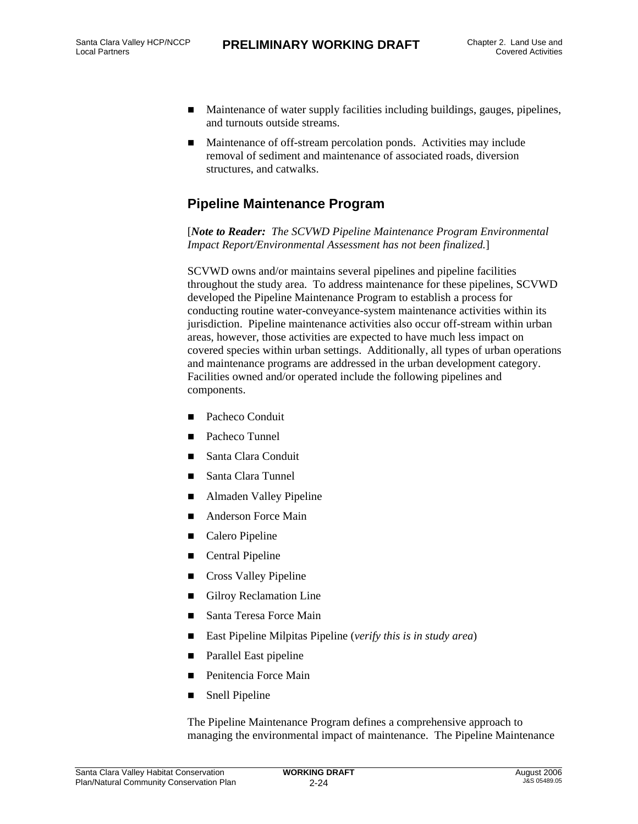- Maintenance of water supply facilities including buildings, gauges, pipelines, and turnouts outside streams.
- Maintenance of off-stream percolation ponds. Activities may include removal of sediment and maintenance of associated roads, diversion structures, and catwalks.

#### **Pipeline Maintenance Program**

[*Note to Reader: The SCVWD Pipeline Maintenance Program Environmental Impact Report/Environmental Assessment has not been finalized.*]

SCVWD owns and/or maintains several pipelines and pipeline facilities throughout the study area. To address maintenance for these pipelines, SCVWD developed the Pipeline Maintenance Program to establish a process for conducting routine water-conveyance-system maintenance activities within its jurisdiction. Pipeline maintenance activities also occur off-stream within urban areas, however, those activities are expected to have much less impact on covered species within urban settings. Additionally, all types of urban operations and maintenance programs are addressed in the urban development category. Facilities owned and/or operated include the following pipelines and components.

- Pacheco Conduit
- Pacheco Tunnel
- Santa Clara Conduit
- Santa Clara Tunnel
- Almaden Valley Pipeline
- Anderson Force Main
- Calero Pipeline
- Central Pipeline
- Cross Valley Pipeline
- Gilroy Reclamation Line
- Santa Teresa Force Main
- East Pipeline Milpitas Pipeline (*verify this is in study area*)
- **Parallel East pipeline**
- **Penitencia Force Main**
- **Snell Pipeline**

The Pipeline Maintenance Program defines a comprehensive approach to managing the environmental impact of maintenance. The Pipeline Maintenance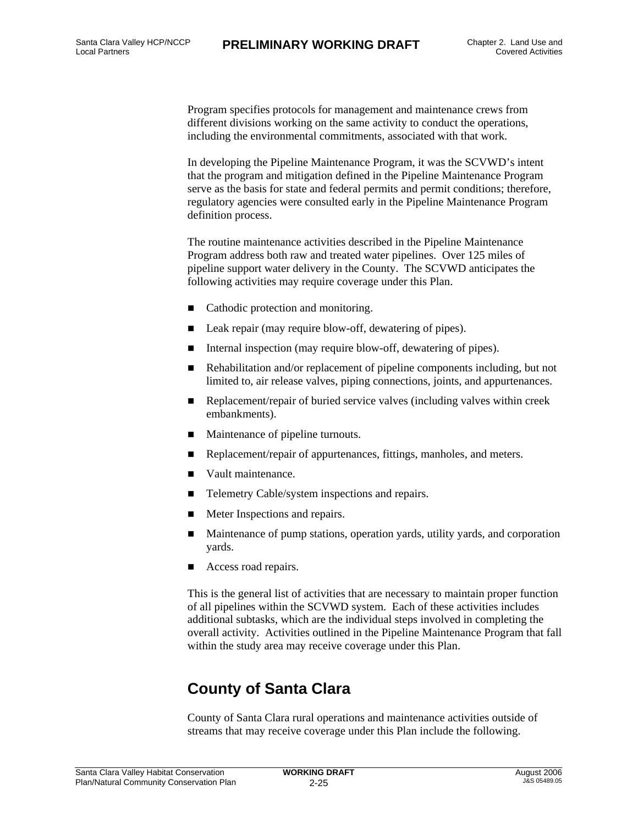Program specifies protocols for management and maintenance crews from different divisions working on the same activity to conduct the operations, including the environmental commitments, associated with that work.

In developing the Pipeline Maintenance Program, it was the SCVWD's intent that the program and mitigation defined in the Pipeline Maintenance Program serve as the basis for state and federal permits and permit conditions; therefore, regulatory agencies were consulted early in the Pipeline Maintenance Program definition process.

The routine maintenance activities described in the Pipeline Maintenance Program address both raw and treated water pipelines. Over 125 miles of pipeline support water delivery in the County. The SCVWD anticipates the following activities may require coverage under this Plan.

- Cathodic protection and monitoring.
- Leak repair (may require blow-off, dewatering of pipes).
- Internal inspection (may require blow-off, dewatering of pipes).
- Rehabilitation and/or replacement of pipeline components including, but not limited to, air release valves, piping connections, joints, and appurtenances.
- **Replacement/repair of buried service valves (including valves within creek)** embankments).
- **Maintenance of pipeline turnouts.**
- Replacement/repair of appurtenances, fittings, manholes, and meters.
- Vault maintenance.
- Telemetry Cable/system inspections and repairs.
- **Meter Inspections and repairs.**
- Maintenance of pump stations, operation yards, utility yards, and corporation yards.
- Access road repairs.

This is the general list of activities that are necessary to maintain proper function of all pipelines within the SCVWD system. Each of these activities includes additional subtasks, which are the individual steps involved in completing the overall activity. Activities outlined in the Pipeline Maintenance Program that fall within the study area may receive coverage under this Plan.

## **County of Santa Clara**

County of Santa Clara rural operations and maintenance activities outside of streams that may receive coverage under this Plan include the following.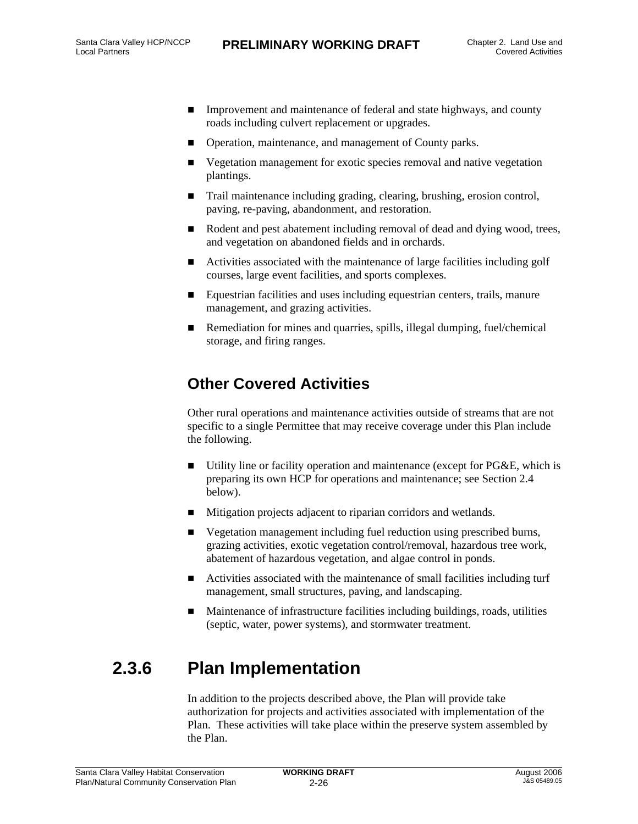- Improvement and maintenance of federal and state highways, and county roads including culvert replacement or upgrades.
- Operation, maintenance, and management of County parks.
- Vegetation management for exotic species removal and native vegetation plantings.
- Trail maintenance including grading, clearing, brushing, erosion control, paving, re-paving, abandonment, and restoration.
- Rodent and pest abatement including removal of dead and dying wood, trees, and vegetation on abandoned fields and in orchards.
- Activities associated with the maintenance of large facilities including golf courses, large event facilities, and sports complexes.
- Equestrian facilities and uses including equestrian centers, trails, manure management, and grazing activities.
- Remediation for mines and quarries, spills, illegal dumping, fuel/chemical storage, and firing ranges.

### **Other Covered Activities**

Other rural operations and maintenance activities outside of streams that are not specific to a single Permittee that may receive coverage under this Plan include the following.

- Utility line or facility operation and maintenance (except for  $P G \& E$ , which is preparing its own HCP for operations and maintenance; see Section 2.4 below).
- Mitigation projects adjacent to riparian corridors and wetlands.
- Vegetation management including fuel reduction using prescribed burns, grazing activities, exotic vegetation control/removal, hazardous tree work, abatement of hazardous vegetation, and algae control in ponds.
- Activities associated with the maintenance of small facilities including turf management, small structures, paving, and landscaping.
- Maintenance of infrastructure facilities including buildings, roads, utilities (septic, water, power systems), and stormwater treatment.

## **2.3.6 Plan Implementation**

In addition to the projects described above, the Plan will provide take authorization for projects and activities associated with implementation of the Plan. These activities will take place within the preserve system assembled by the Plan.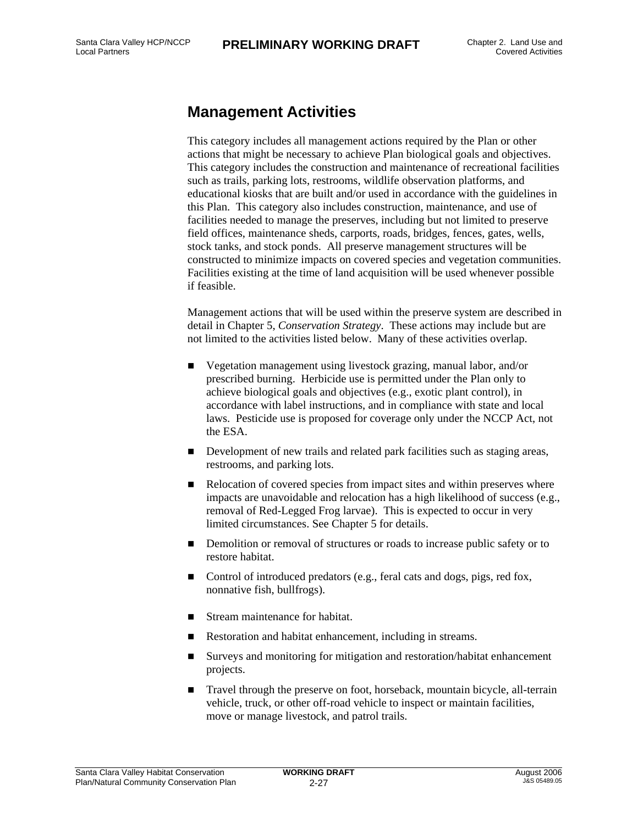#### **Management Activities**

This category includes all management actions required by the Plan or other actions that might be necessary to achieve Plan biological goals and objectives. This category includes the construction and maintenance of recreational facilities such as trails, parking lots, restrooms, wildlife observation platforms, and educational kiosks that are built and/or used in accordance with the guidelines in this Plan. This category also includes construction, maintenance, and use of facilities needed to manage the preserves, including but not limited to preserve field offices, maintenance sheds, carports, roads, bridges, fences, gates, wells, stock tanks, and stock ponds. All preserve management structures will be constructed to minimize impacts on covered species and vegetation communities. Facilities existing at the time of land acquisition will be used whenever possible if feasible.

Management actions that will be used within the preserve system are described in detail in Chapter 5, *Conservation Strategy*. These actions may include but are not limited to the activities listed below. Many of these activities overlap.

- Vegetation management using livestock grazing, manual labor, and/or prescribed burning. Herbicide use is permitted under the Plan only to achieve biological goals and objectives (e.g., exotic plant control), in accordance with label instructions, and in compliance with state and local laws. Pesticide use is proposed for coverage only under the NCCP Act, not the ESA.
- Development of new trails and related park facilities such as staging areas, restrooms, and parking lots.
- Relocation of covered species from impact sites and within preserves where impacts are unavoidable and relocation has a high likelihood of success (e.g., removal of Red-Legged Frog larvae). This is expected to occur in very limited circumstances. See Chapter 5 for details.
- **Demolition or removal of structures or roads to increase public safety or to** restore habitat.
- Control of introduced predators (e.g., feral cats and dogs, pigs, red fox, nonnative fish, bullfrogs).
- Stream maintenance for habitat.
- Restoration and habitat enhancement, including in streams.
- Surveys and monitoring for mitigation and restoration/habitat enhancement projects.
- **Travel through the preserve on foot, horseback, mountain bicycle, all-terrain** vehicle, truck, or other off-road vehicle to inspect or maintain facilities, move or manage livestock, and patrol trails.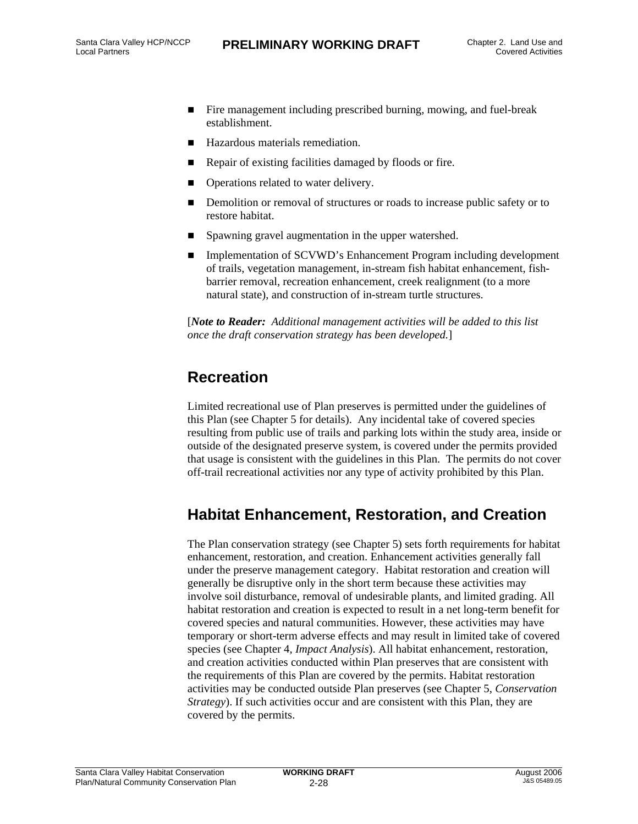- Fire management including prescribed burning, mowing, and fuel-break establishment.
- Hazardous materials remediation.
- Repair of existing facilities damaged by floods or fire.
- $\blacksquare$  Operations related to water delivery.
- Demolition or removal of structures or roads to increase public safety or to restore habitat.
- **Spawning gravel augmentation in the upper watershed.**
- Implementation of SCVWD's Enhancement Program including development of trails, vegetation management, in-stream fish habitat enhancement, fishbarrier removal, recreation enhancement, creek realignment (to a more natural state), and construction of in-stream turtle structures.

[*Note to Reader: Additional management activities will be added to this list once the draft conservation strategy has been developed.*]

### **Recreation**

Limited recreational use of Plan preserves is permitted under the guidelines of this Plan (see Chapter 5 for details). Any incidental take of covered species resulting from public use of trails and parking lots within the study area, inside or outside of the designated preserve system, is covered under the permits provided that usage is consistent with the guidelines in this Plan. The permits do not cover off-trail recreational activities nor any type of activity prohibited by this Plan.

### **Habitat Enhancement, Restoration, and Creation**

The Plan conservation strategy (see Chapter 5) sets forth requirements for habitat enhancement, restoration, and creation. Enhancement activities generally fall under the preserve management category. Habitat restoration and creation will generally be disruptive only in the short term because these activities may involve soil disturbance, removal of undesirable plants, and limited grading. All habitat restoration and creation is expected to result in a net long-term benefit for covered species and natural communities. However, these activities may have temporary or short-term adverse effects and may result in limited take of covered species (see Chapter 4, *Impact Analysis*). All habitat enhancement, restoration, and creation activities conducted within Plan preserves that are consistent with the requirements of this Plan are covered by the permits. Habitat restoration activities may be conducted outside Plan preserves (see Chapter 5, *Conservation Strategy*). If such activities occur and are consistent with this Plan, they are covered by the permits.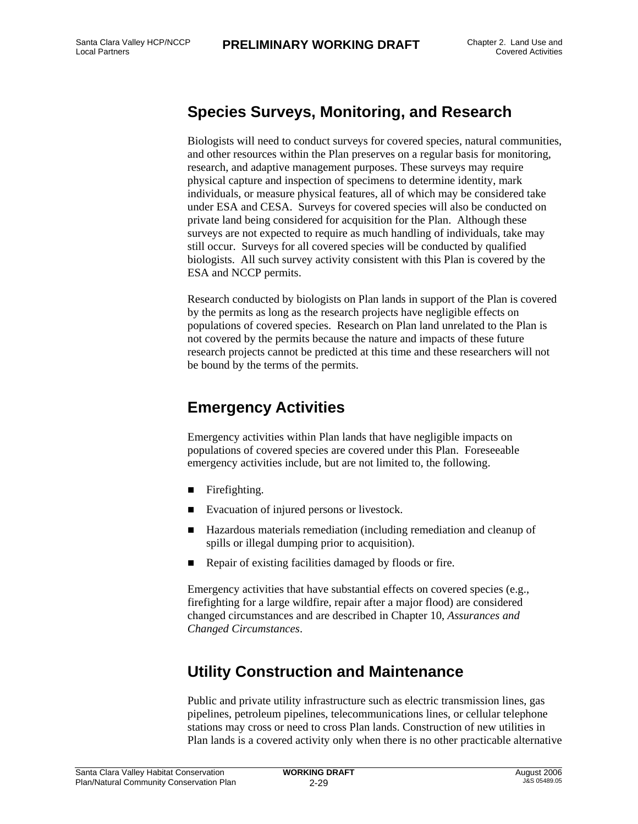#### **Species Surveys, Monitoring, and Research**

Biologists will need to conduct surveys for covered species, natural communities, and other resources within the Plan preserves on a regular basis for monitoring, research, and adaptive management purposes. These surveys may require physical capture and inspection of specimens to determine identity, mark individuals, or measure physical features, all of which may be considered take under ESA and CESA. Surveys for covered species will also be conducted on private land being considered for acquisition for the Plan. Although these surveys are not expected to require as much handling of individuals, take may still occur. Surveys for all covered species will be conducted by qualified biologists. All such survey activity consistent with this Plan is covered by the ESA and NCCP permits.

Research conducted by biologists on Plan lands in support of the Plan is covered by the permits as long as the research projects have negligible effects on populations of covered species. Research on Plan land unrelated to the Plan is not covered by the permits because the nature and impacts of these future research projects cannot be predicted at this time and these researchers will not be bound by the terms of the permits.

#### **Emergency Activities**

Emergency activities within Plan lands that have negligible impacts on populations of covered species are covered under this Plan. Foreseeable emergency activities include, but are not limited to, the following.

- **Firefighting.**
- Evacuation of injured persons or livestock.
- Hazardous materials remediation (including remediation and cleanup of spills or illegal dumping prior to acquisition).
- Repair of existing facilities damaged by floods or fire.

Emergency activities that have substantial effects on covered species (e.g., firefighting for a large wildfire, repair after a major flood) are considered changed circumstances and are described in Chapter 10, *Assurances and Changed Circumstances*.

### **Utility Construction and Maintenance**

Public and private utility infrastructure such as electric transmission lines, gas pipelines, petroleum pipelines, telecommunications lines, or cellular telephone stations may cross or need to cross Plan lands. Construction of new utilities in Plan lands is a covered activity only when there is no other practicable alternative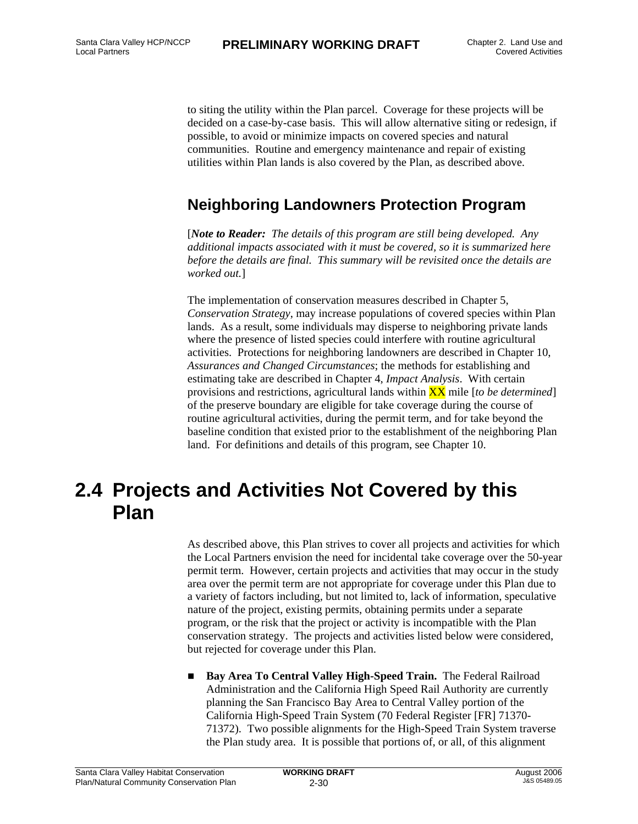to siting the utility within the Plan parcel. Coverage for these projects will be decided on a case-by-case basis. This will allow alternative siting or redesign, if possible, to avoid or minimize impacts on covered species and natural communities. Routine and emergency maintenance and repair of existing utilities within Plan lands is also covered by the Plan, as described above.

#### **Neighboring Landowners Protection Program**

[*Note to Reader: The details of this program are still being developed. Any additional impacts associated with it must be covered, so it is summarized here before the details are final. This summary will be revisited once the details are worked out.*]

The implementation of conservation measures described in Chapter 5, *Conservation Strategy*, may increase populations of covered species within Plan lands. As a result, some individuals may disperse to neighboring private lands where the presence of listed species could interfere with routine agricultural activities. Protections for neighboring landowners are described in Chapter 10, *Assurances and Changed Circumstances*; the methods for establishing and estimating take are described in Chapter 4, *Impact Analysis*. With certain provisions and restrictions, agricultural lands within XX mile [*to be determined*] of the preserve boundary are eligible for take coverage during the course of routine agricultural activities, during the permit term, and for take beyond the baseline condition that existed prior to the establishment of the neighboring Plan land. For definitions and details of this program, see Chapter 10.

## **2.4 Projects and Activities Not Covered by this Plan**

As described above, this Plan strives to cover all projects and activities for which the Local Partners envision the need for incidental take coverage over the 50-year permit term. However, certain projects and activities that may occur in the study area over the permit term are not appropriate for coverage under this Plan due to a variety of factors including, but not limited to, lack of information, speculative nature of the project, existing permits, obtaining permits under a separate program, or the risk that the project or activity is incompatible with the Plan conservation strategy. The projects and activities listed below were considered, but rejected for coverage under this Plan.

 **Bay Area To Central Valley High-Speed Train.** The Federal Railroad Administration and the California High Speed Rail Authority are currently planning the San Francisco Bay Area to Central Valley portion of the California High-Speed Train System (70 Federal Register [FR] 71370- 71372). Two possible alignments for the High-Speed Train System traverse the Plan study area. It is possible that portions of, or all, of this alignment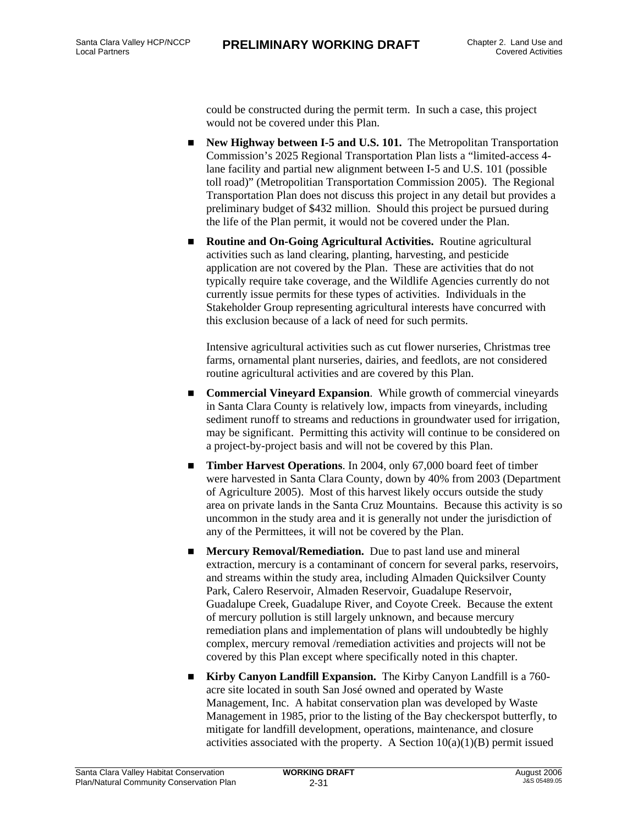could be constructed during the permit term. In such a case, this project would not be covered under this Plan.

- **New Highway between I-5 and U.S. 101.** The Metropolitan Transportation Commission's 2025 Regional Transportation Plan lists a "limited-access 4 lane facility and partial new alignment between I-5 and U.S. 101 (possible toll road)" (Metropolitian Transportation Commission 2005). The Regional Transportation Plan does not discuss this project in any detail but provides a preliminary budget of \$432 million. Should this project be pursued during the life of the Plan permit, it would not be covered under the Plan.
- **Routine and On-Going Agricultural Activities.** Routine agricultural activities such as land clearing, planting, harvesting, and pesticide application are not covered by the Plan. These are activities that do not typically require take coverage, and the Wildlife Agencies currently do not currently issue permits for these types of activities. Individuals in the Stakeholder Group representing agricultural interests have concurred with this exclusion because of a lack of need for such permits.

Intensive agricultural activities such as cut flower nurseries, Christmas tree farms, ornamental plant nurseries, dairies, and feedlots, are not considered routine agricultural activities and are covered by this Plan.

- **Commercial Vineyard Expansion.** While growth of commercial vineyards in Santa Clara County is relatively low, impacts from vineyards, including sediment runoff to streams and reductions in groundwater used for irrigation, may be significant. Permitting this activity will continue to be considered on a project-by-project basis and will not be covered by this Plan.
- **Timber Harvest Operations**. In 2004, only 67,000 board feet of timber were harvested in Santa Clara County, down by 40% from 2003 (Department of Agriculture 2005). Most of this harvest likely occurs outside the study area on private lands in the Santa Cruz Mountains. Because this activity is so uncommon in the study area and it is generally not under the jurisdiction of any of the Permittees, it will not be covered by the Plan.
- **Mercury Removal/Remediation.** Due to past land use and mineral extraction, mercury is a contaminant of concern for several parks, reservoirs, and streams within the study area, including Almaden Quicksilver County Park, Calero Reservoir, Almaden Reservoir, Guadalupe Reservoir, Guadalupe Creek, Guadalupe River, and Coyote Creek. Because the extent of mercury pollution is still largely unknown, and because mercury remediation plans and implementation of plans will undoubtedly be highly complex, mercury removal /remediation activities and projects will not be covered by this Plan except where specifically noted in this chapter.
- **Kirby Canyon Landfill Expansion.** The Kirby Canyon Landfill is a 760 acre site located in south San José owned and operated by Waste Management, Inc. A habitat conservation plan was developed by Waste Management in 1985, prior to the listing of the Bay checkerspot butterfly, to mitigate for landfill development, operations, maintenance, and closure activities associated with the property. A Section  $10(a)(1)(B)$  permit issued